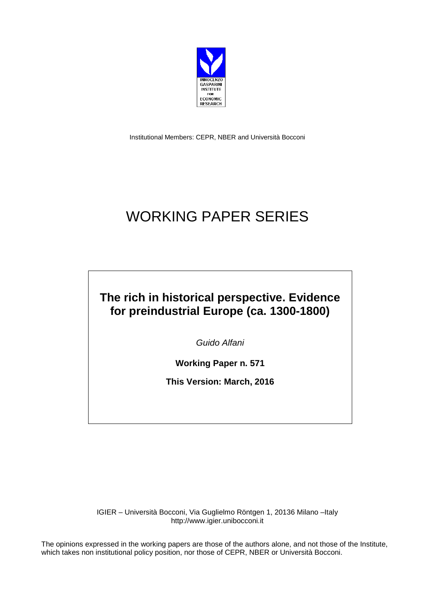

Institutional Members: CEPR, NBER and Università Bocconi

# WORKING PAPER SERIES

# **The rich in historical perspective. Evidence for preindustrial Europe (ca. 1300-1800)**

*Guido Alfani*

**Working Paper n. 571**

**This Version: March, 2016**

IGIER – Università Bocconi, Via Guglielmo Röntgen 1, 20136 Milano –Italy http://www.igier.unibocconi.it

The opinions expressed in the working papers are those of the authors alone, and not those of the Institute, which takes non institutional policy position, nor those of CEPR, NBER or Università Bocconi.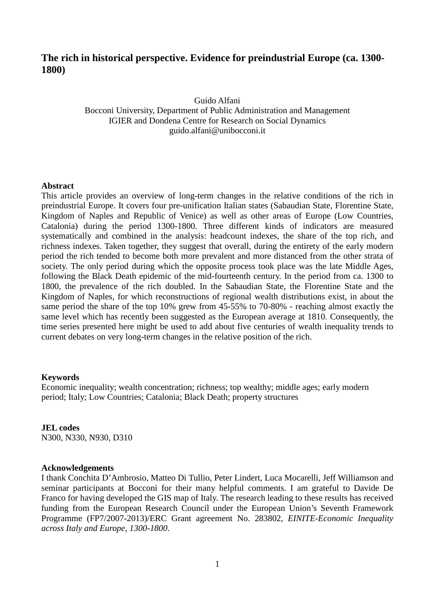# **The rich in historical perspective. Evidence for preindustrial Europe (ca. 1300- 1800)**

# Guido Alfani Bocconi University, Department of Public Administration and Management IGIER and Dondena Centre for Research on Social Dynamics guido.alfani@unibocconi.it

#### **Abstract**

This article provides an overview of long-term changes in the relative conditions of the rich in preindustrial Europe. It covers four pre-unification Italian states (Sabaudian State, Florentine State, Kingdom of Naples and Republic of Venice) as well as other areas of Europe (Low Countries, Catalonia) during the period 1300-1800. Three different kinds of indicators are measured systematically and combined in the analysis: headcount indexes, the share of the top rich, and richness indexes. Taken together, they suggest that overall, during the entirety of the early modern period the rich tended to become both more prevalent and more distanced from the other strata of society. The only period during which the opposite process took place was the late Middle Ages, following the Black Death epidemic of the mid-fourteenth century. In the period from ca. 1300 to 1800, the prevalence of the rich doubled. In the Sabaudian State, the Florentine State and the Kingdom of Naples, for which reconstructions of regional wealth distributions exist, in about the same period the share of the top 10% grew from 45-55% to 70-80% - reaching almost exactly the same level which has recently been suggested as the European average at 1810. Consequently, the time series presented here might be used to add about five centuries of wealth inequality trends to current debates on very long-term changes in the relative position of the rich.

#### **Keywords**

Economic inequality; wealth concentration; richness; top wealthy; middle ages; early modern period; Italy; Low Countries; Catalonia; Black Death; property structures

**JEL codes** N300, N330, N930, D310

#### **Acknowledgements**

I thank Conchita D'Ambrosio, Matteo Di Tullio, Peter Lindert, Luca Mocarelli, Jeff Williamson and seminar participants at Bocconi for their many helpful comments. I am grateful to Davide De Franco for having developed the GIS map of Italy. The research leading to these results has received funding from the European Research Council under the European Union's Seventh Framework Programme (FP7/2007-2013)/ERC Grant agreement No. 283802, *EINITE-Economic Inequality across Italy and Europe, 1300-1800*.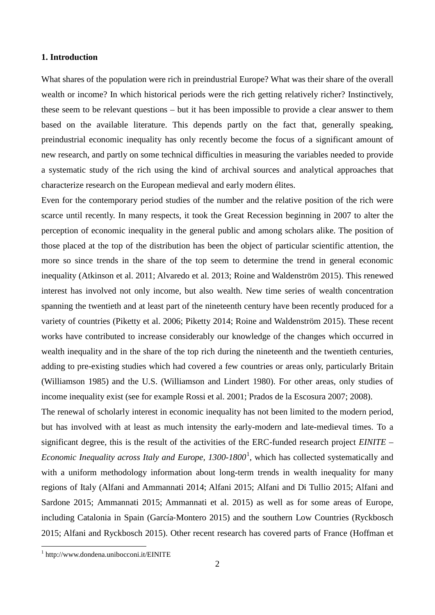#### **1. Introduction**

What shares of the population were rich in preindustrial Europe? What was their share of the overall wealth or income? In which historical periods were the rich getting relatively richer? Instinctively, these seem to be relevant questions – but it has been impossible to provide a clear answer to them based on the available literature. This depends partly on the fact that, generally speaking, preindustrial economic inequality has only recently become the focus of a significant amount of new research, and partly on some technical difficulties in measuring the variables needed to provide a systematic study of the rich using the kind of archival sources and analytical approaches that characterize research on the European medieval and early modern élites.

Even for the contemporary period studies of the number and the relative position of the rich were scarce until recently. In many respects, it took the Great Recession beginning in 2007 to alter the perception of economic inequality in the general public and among scholars alike. The position of those placed at the top of the distribution has been the object of particular scientific attention, the more so since trends in the share of the top seem to determine the trend in general economic inequality (Atkinson et al. 2011; Alvaredo et al. 2013; Roine and Waldenström 2015). This renewed interest has involved not only income, but also wealth. New time series of wealth concentration spanning the twentieth and at least part of the nineteenth century have been recently produced for a variety of countries (Piketty et al. 2006; Piketty 2014; Roine and Waldenström 2015). These recent works have contributed to increase considerably our knowledge of the changes which occurred in wealth inequality and in the share of the top rich during the nineteenth and the twentieth centuries, adding to pre-existing studies which had covered a few countries or areas only, particularly Britain (Williamson 1985) and the U.S. (Williamson and Lindert 1980). For other areas, only studies of income inequality exist (see for example Rossi et al. 2001; Prados de la Escosura 2007; 2008).

The renewal of scholarly interest in economic inequality has not been limited to the modern period, but has involved with at least as much intensity the early-modern and late-medieval times. To a significant degree, this is the result of the activities of the ERC-funded research project *EINITE –* Economic Inequality across Italy and Europe, [1](#page-2-0)300-1800<sup>1</sup>, which has collected systematically and with a uniform methodology information about long-term trends in wealth inequality for many regions of Italy (Alfani and Ammannati 2014; Alfani 2015; Alfani and Di Tullio 2015; Alfani and Sardone 2015; Ammannati 2015; Ammannati et al. 2015) as well as for some areas of Europe, including Catalonia in Spain (García-Montero 2015) and the southern Low Countries (Ryckbosch 2015; Alfani and Ryckbosch 2015). Other recent research has covered parts of France (Hoffman et

<span id="page-2-0"></span> <sup>1</sup> http://www.dondena.unibocconi.it/EINITE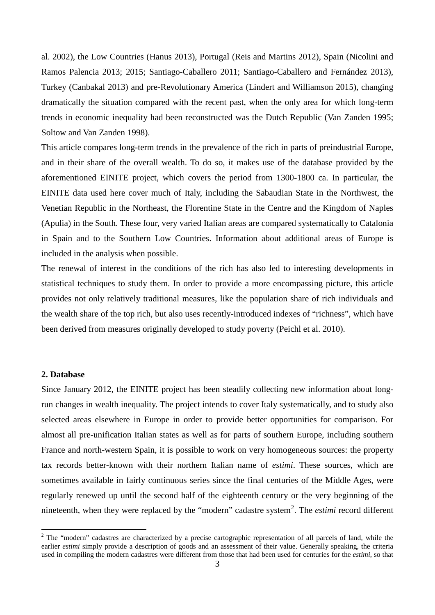al. 2002), the Low Countries (Hanus 2013), Portugal (Reis and Martins 2012), Spain (Nicolini and Ramos Palencia 2013; 2015; Santiago-Caballero 2011; Santiago-Caballero and Fernández 2013), Turkey (Canbakal 2013) and pre-Revolutionary America (Lindert and Williamson 2015), changing dramatically the situation compared with the recent past, when the only area for which long-term trends in economic inequality had been reconstructed was the Dutch Republic (Van Zanden 1995; Soltow and Van Zanden 1998).

This article compares long-term trends in the prevalence of the rich in parts of preindustrial Europe, and in their share of the overall wealth. To do so, it makes use of the database provided by the aforementioned EINITE project, which covers the period from 1300-1800 ca. In particular, the EINITE data used here cover much of Italy, including the Sabaudian State in the Northwest, the Venetian Republic in the Northeast, the Florentine State in the Centre and the Kingdom of Naples (Apulia) in the South. These four, very varied Italian areas are compared systematically to Catalonia in Spain and to the Southern Low Countries. Information about additional areas of Europe is included in the analysis when possible.

The renewal of interest in the conditions of the rich has also led to interesting developments in statistical techniques to study them. In order to provide a more encompassing picture, this article provides not only relatively traditional measures, like the population share of rich individuals and the wealth share of the top rich, but also uses recently-introduced indexes of "richness", which have been derived from measures originally developed to study poverty (Peichl et al. 2010).

#### **2. Database**

Since January 2012, the EINITE project has been steadily collecting new information about longrun changes in wealth inequality. The project intends to cover Italy systematically, and to study also selected areas elsewhere in Europe in order to provide better opportunities for comparison. For almost all pre-unification Italian states as well as for parts of southern Europe, including southern France and north-western Spain, it is possible to work on very homogeneous sources: the property tax records better-known with their northern Italian name of *estimi*. These sources, which are sometimes available in fairly continuous series since the final centuries of the Middle Ages, were regularly renewed up until the second half of the eighteenth century or the very beginning of the nineteenth, when they were replaced by the "modern" cadastre system<sup>[2](#page-3-0)</sup>. The *estimi* record different

<span id="page-3-0"></span><sup>&</sup>lt;sup>2</sup> The "modern" cadastres are characterized by a precise cartographic representation of all parcels of land, while the earlier *estimi* simply provide a description of goods and an assessment of their value. Generally speaking, the criteria used in compiling the modern cadastres were different from those that had been used for centuries for the *estimi*, so that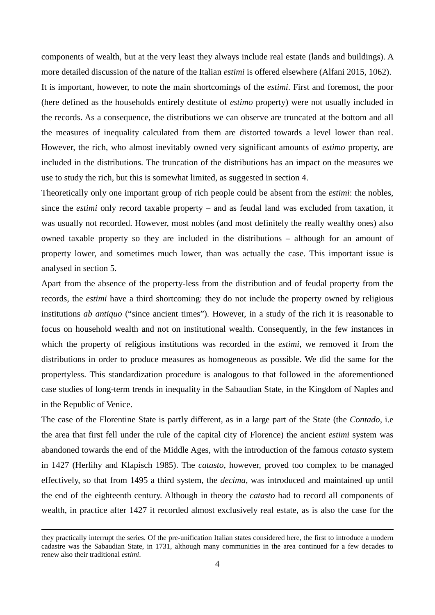components of wealth, but at the very least they always include real estate (lands and buildings). A more detailed discussion of the nature of the Italian *estimi* is offered elsewhere (Alfani 2015, 1062). It is important, however, to note the main shortcomings of the *estimi*. First and foremost, the poor (here defined as the households entirely destitute of *estimo* property) were not usually included in the records. As a consequence, the distributions we can observe are truncated at the bottom and all the measures of inequality calculated from them are distorted towards a level lower than real. However, the rich, who almost inevitably owned very significant amounts of *estimo* property, are included in the distributions. The truncation of the distributions has an impact on the measures we use to study the rich, but this is somewhat limited, as suggested in section 4.

Theoretically only one important group of rich people could be absent from the *estimi*: the nobles, since the *estimi* only record taxable property – and as feudal land was excluded from taxation, it was usually not recorded. However, most nobles (and most definitely the really wealthy ones) also owned taxable property so they are included in the distributions – although for an amount of property lower, and sometimes much lower, than was actually the case. This important issue is analysed in section 5.

Apart from the absence of the property-less from the distribution and of feudal property from the records, the *estimi* have a third shortcoming: they do not include the property owned by religious institutions *ab antiquo* ("since ancient times"). However, in a study of the rich it is reasonable to focus on household wealth and not on institutional wealth. Consequently, in the few instances in which the property of religious institutions was recorded in the *estimi*, we removed it from the distributions in order to produce measures as homogeneous as possible. We did the same for the propertyless. This standardization procedure is analogous to that followed in the aforementioned case studies of long-term trends in inequality in the Sabaudian State, in the Kingdom of Naples and in the Republic of Venice.

The case of the Florentine State is partly different, as in a large part of the State (the *Contado*, i.e the area that first fell under the rule of the capital city of Florence) the ancient *estimi* system was abandoned towards the end of the Middle Ages, with the introduction of the famous *catasto* system in 1427 (Herlihy and Klapisch 1985). The *catasto*, however, proved too complex to be managed effectively, so that from 1495 a third system, the *decima*, was introduced and maintained up until the end of the eighteenth century. Although in theory the *catasto* had to record all components of wealth, in practice after 1427 it recorded almost exclusively real estate, as is also the case for the

-

they practically interrupt the series. Of the pre-unification Italian states considered here, the first to introduce a modern cadastre was the Sabaudian State, in 1731, although many communities in the area continued for a few decades to renew also their traditional *estimi*.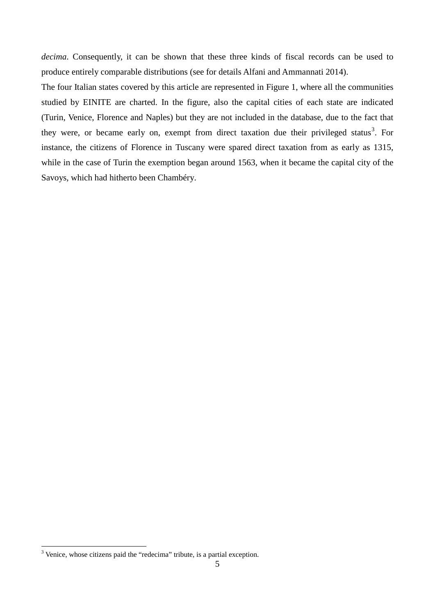*decima*. Consequently, it can be shown that these three kinds of fiscal records can be used to produce entirely comparable distributions (see for details Alfani and Ammannati 2014).

The four Italian states covered by this article are represented in Figure 1, where all the communities studied by EINITE are charted. In the figure, also the capital cities of each state are indicated (Turin, Venice, Florence and Naples) but they are not included in the database, due to the fact that they were, or became early on, exempt from direct taxation due their privileged status<sup>[3](#page-5-0)</sup>. For instance, the citizens of Florence in Tuscany were spared direct taxation from as early as 1315, while in the case of Turin the exemption began around 1563, when it became the capital city of the Savoys, which had hitherto been Chambéry.

<span id="page-5-0"></span><sup>&</sup>lt;sup>3</sup> Venice, whose citizens paid the "redecima" tribute, is a partial exception.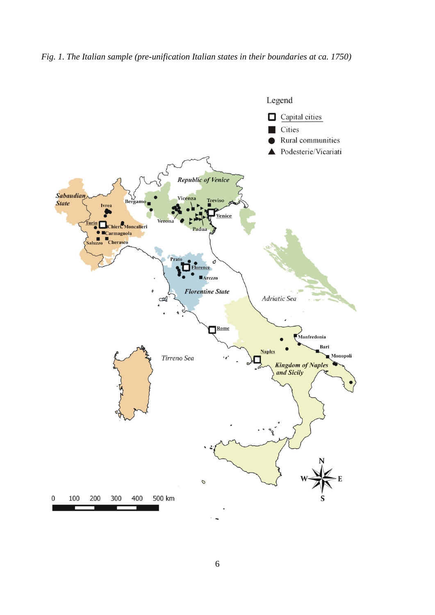*Fig. 1. The Italian sample (pre-unification Italian states in their boundaries at ca. 1750)*

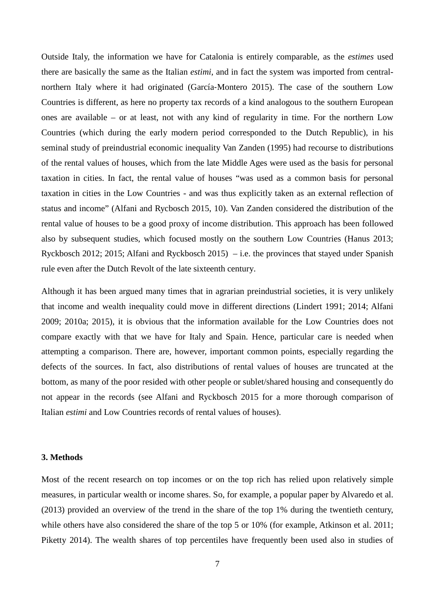Outside Italy, the information we have for Catalonia is entirely comparable, as the *estimes* used there are basically the same as the Italian *estimi*, and in fact the system was imported from centralnorthern Italy where it had originated (García-Montero 2015). The case of the southern Low Countries is different, as here no property tax records of a kind analogous to the southern European ones are available – or at least, not with any kind of regularity in time. For the northern Low Countries (which during the early modern period corresponded to the Dutch Republic), in his seminal study of preindustrial economic inequality Van Zanden (1995) had recourse to distributions of the rental values of houses, which from the late Middle Ages were used as the basis for personal taxation in cities. In fact, the rental value of houses "was used as a common basis for personal taxation in cities in the Low Countries - and was thus explicitly taken as an external reflection of status and income" (Alfani and Rycbosch 2015, 10). Van Zanden considered the distribution of the rental value of houses to be a good proxy of income distribution. This approach has been followed also by subsequent studies, which focused mostly on the southern Low Countries (Hanus 2013; Ryckbosch 2012; 2015; Alfani and Ryckbosch 2015) – i.e. the provinces that stayed under Spanish rule even after the Dutch Revolt of the late sixteenth century.

Although it has been argued many times that in agrarian preindustrial societies, it is very unlikely that income and wealth inequality could move in different directions (Lindert 1991; 2014; Alfani 2009; 2010a; 2015), it is obvious that the information available for the Low Countries does not compare exactly with that we have for Italy and Spain. Hence, particular care is needed when attempting a comparison. There are, however, important common points, especially regarding the defects of the sources. In fact, also distributions of rental values of houses are truncated at the bottom, as many of the poor resided with other people or sublet/shared housing and consequently do not appear in the records (see Alfani and Ryckbosch 2015 for a more thorough comparison of Italian *estimi* and Low Countries records of rental values of houses).

#### **3. Methods**

Most of the recent research on top incomes or on the top rich has relied upon relatively simple measures, in particular wealth or income shares. So, for example, a popular paper by Alvaredo et al. (2013) provided an overview of the trend in the share of the top 1% during the twentieth century, while others have also considered the share of the top 5 or 10% (for example, Atkinson et al. 2011; Piketty 2014). The wealth shares of top percentiles have frequently been used also in studies of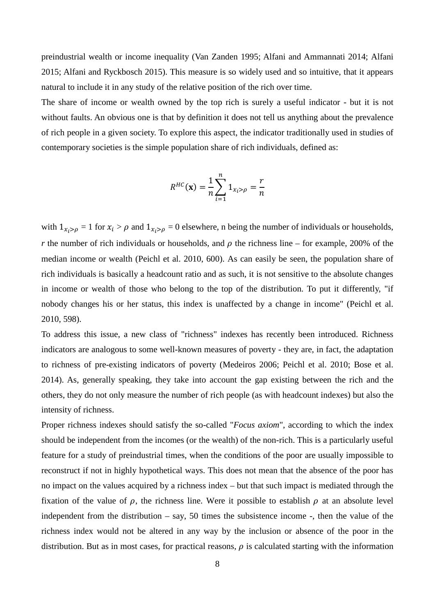preindustrial wealth or income inequality (Van Zanden 1995; Alfani and Ammannati 2014; Alfani 2015; Alfani and Ryckbosch 2015). This measure is so widely used and so intuitive, that it appears natural to include it in any study of the relative position of the rich over time.

The share of income or wealth owned by the top rich is surely a useful indicator - but it is not without faults. An obvious one is that by definition it does not tell us anything about the prevalence of rich people in a given society. To explore this aspect, the indicator traditionally used in studies of contemporary societies is the simple population share of rich individuals, defined as:

$$
R^{HC}(\mathbf{x}) = \frac{1}{n} \sum_{i=1}^{n} 1_{x_i > \rho} = \frac{r}{n}
$$

with  $1_{x_i > \rho} = 1$  for  $x_i > \rho$  and  $1_{x_i > \rho} = 0$  elsewhere, n being the number of individuals or households, *r* the number of rich individuals or households, and  $\rho$  the richness line – for example, 200% of the median income or wealth (Peichl et al. 2010, 600). As can easily be seen, the population share of rich individuals is basically a headcount ratio and as such, it is not sensitive to the absolute changes in income or wealth of those who belong to the top of the distribution. To put it differently, "if nobody changes his or her status, this index is unaffected by a change in income" (Peichl et al. 2010, 598).

To address this issue, a new class of "richness" indexes has recently been introduced. Richness indicators are analogous to some well-known measures of poverty - they are, in fact, the adaptation to richness of pre-existing indicators of poverty (Medeiros 2006; Peichl et al. 2010; Bose et al. 2014). As, generally speaking, they take into account the gap existing between the rich and the others, they do not only measure the number of rich people (as with headcount indexes) but also the intensity of richness.

Proper richness indexes should satisfy the so-called "*Focus axiom*", according to which the index should be independent from the incomes (or the wealth) of the non-rich. This is a particularly useful feature for a study of preindustrial times, when the conditions of the poor are usually impossible to reconstruct if not in highly hypothetical ways. This does not mean that the absence of the poor has no impact on the values acquired by a richness index – but that such impact is mediated through the fixation of the value of  $\rho$ , the richness line. Were it possible to establish  $\rho$  at an absolute level independent from the distribution – say, 50 times the subsistence income -, then the value of the richness index would not be altered in any way by the inclusion or absence of the poor in the distribution. But as in most cases, for practical reasons,  $\rho$  is calculated starting with the information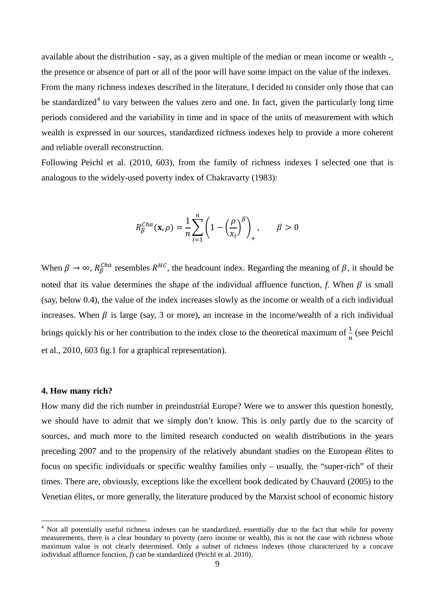available about the distribution - say, as a given multiple of the median or mean income or wealth -, the presence or absence of part or all of the poor will have some impact on the value of the indexes. From the many richness indexes described in the literature, I decided to consider only those that can be standardized<sup>[4](#page-9-0)</sup> to vary between the values zero and one. In fact, given the particularly long time periods considered and the variability in time and in space of the units of measurement with which wealth is expressed in our sources, standardized richness indexes help to provide a more coherent and reliable overall reconstruction.

Following Peichl et al. (2010, 603), from the family of richness indexes I selected one that is analogous to the widely-used poverty index of Chakravarty (1983):

$$
R_{\beta}^{Cha}(\mathbf{x}, \rho) = \frac{1}{n} \sum_{i=1}^{n} \left( 1 - \left( \frac{\rho}{x_i} \right)^{\beta} \right)_+, \quad \beta > 0
$$

When  $\beta \to \infty$ ,  $R_{\beta}^{Cha}$  resembles  $R^{HC}$ , the headcount index. Regarding the meaning of  $\beta$ , it should be noted that its value determines the shape of the individual affluence function,  $f$ . When  $\beta$  is small (say, below 0.4), the value of the index increases slowly as the income or wealth of a rich individual increases. When  $\beta$  is large (say, 3 or more), an increase in the income/wealth of a rich individual brings quickly his or her contribution to the index close to the theoretical maximum of  $\frac{1}{n}$  (see Peichl et al., 2010, 603 fig.1 for a graphical representation).

#### **4. How many rich?**

How many did the rich number in preindustrial Europe? Were we to answer this question honestly, we should have to admit that we simply don't know. This is only partly due to the scarcity of sources, and much more to the limited research conducted on wealth distributions in the years preceding 2007 and to the propensity of the relatively abundant studies on the European élites to focus on specific individuals or specific wealthy families only – usually, the "super-rich" of their times. There are, obviously, exceptions like the excellent book dedicated by Chauvard (2005) to the Venetian élites, or more generally, the literature produced by the Marxist school of economic history

<span id="page-9-0"></span><sup>&</sup>lt;sup>4</sup> Not all potentially useful richness indexes can be standardized, essentially due to the fact that while for poverty measurements, there is a clear boundary to poverty (zero income or wealth), this is not the case with richness whose maximum value is not clearly determined. Only a subset of richness indexes (those characterized by a concave individual affluence function, *f*) can be standardized (Peichl et al. 2010).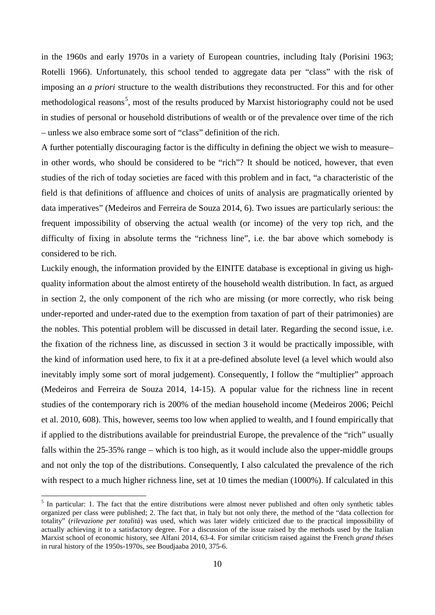in the 1960s and early 1970s in a variety of European countries, including Italy (Porisini 1963; Rotelli 1966). Unfortunately, this school tended to aggregate data per "class" with the risk of imposing an *a priori* structure to the wealth distributions they reconstructed. For this and for other methodological reasons<sup>[5](#page-10-0)</sup>, most of the results produced by Marxist historiography could not be used in studies of personal or household distributions of wealth or of the prevalence over time of the rich – unless we also embrace some sort of "class" definition of the rich.

A further potentially discouraging factor is the difficulty in defining the object we wish to measure– in other words, who should be considered to be "rich"? It should be noticed, however, that even studies of the rich of today societies are faced with this problem and in fact, "a characteristic of the field is that definitions of affluence and choices of units of analysis are pragmatically oriented by data imperatives" (Medeiros and Ferreira de Souza 2014, 6). Two issues are particularly serious: the frequent impossibility of observing the actual wealth (or income) of the very top rich, and the difficulty of fixing in absolute terms the "richness line", i.e. the bar above which somebody is considered to be rich.

Luckily enough, the information provided by the EINITE database is exceptional in giving us highquality information about the almost entirety of the household wealth distribution. In fact, as argued in section 2, the only component of the rich who are missing (or more correctly, who risk being under-reported and under-rated due to the exemption from taxation of part of their patrimonies) are the nobles. This potential problem will be discussed in detail later. Regarding the second issue, i.e. the fixation of the richness line, as discussed in section 3 it would be practically impossible, with the kind of information used here, to fix it at a pre-defined absolute level (a level which would also inevitably imply some sort of moral judgement). Consequently, I follow the "multiplier" approach (Medeiros and Ferreira de Souza 2014, 14-15). A popular value for the richness line in recent studies of the contemporary rich is 200% of the median household income (Medeiros 2006; Peichl et al. 2010, 608). This, however, seems too low when applied to wealth, and I found empirically that if applied to the distributions available for preindustrial Europe, the prevalence of the "rich" usually falls within the 25-35% range – which is too high, as it would include also the upper-middle groups and not only the top of the distributions. Consequently, I also calculated the prevalence of the rich with respect to a much higher richness line, set at 10 times the median (1000%). If calculated in this

<span id="page-10-0"></span><sup>&</sup>lt;sup>5</sup> In particular: 1. The fact that the entire distributions were almost never published and often only synthetic tables organized per class were published; 2. The fact that, in Italy but not only there, the method of the "data collection for totality" (*rilevazione per totalità*) was used, which was later widely criticized due to the practical impossibility of actually achieving it to a satisfactory degree. For a discussion of the issue raised by the methods used by the Italian Marxist school of economic history, see Alfani 2014, 63-4. For similar criticism raised against the French *grand théses* in rural history of the 1950s-1970s, see Boudjaaba 2010, 375-6.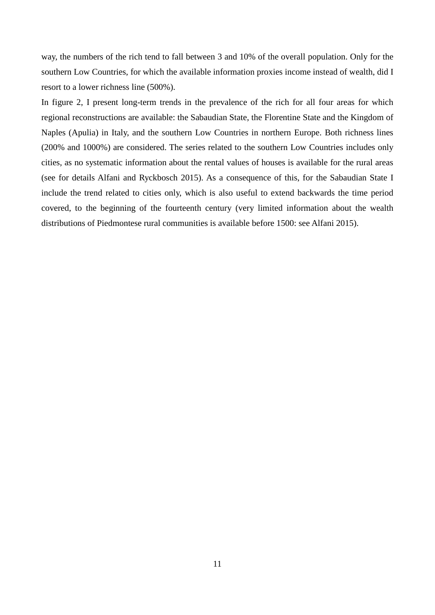way, the numbers of the rich tend to fall between 3 and 10% of the overall population. Only for the southern Low Countries, for which the available information proxies income instead of wealth, did I resort to a lower richness line (500%).

In figure 2, I present long-term trends in the prevalence of the rich for all four areas for which regional reconstructions are available: the Sabaudian State, the Florentine State and the Kingdom of Naples (Apulia) in Italy, and the southern Low Countries in northern Europe. Both richness lines (200% and 1000%) are considered. The series related to the southern Low Countries includes only cities, as no systematic information about the rental values of houses is available for the rural areas (see for details Alfani and Ryckbosch 2015). As a consequence of this, for the Sabaudian State I include the trend related to cities only, which is also useful to extend backwards the time period covered, to the beginning of the fourteenth century (very limited information about the wealth distributions of Piedmontese rural communities is available before 1500: see Alfani 2015).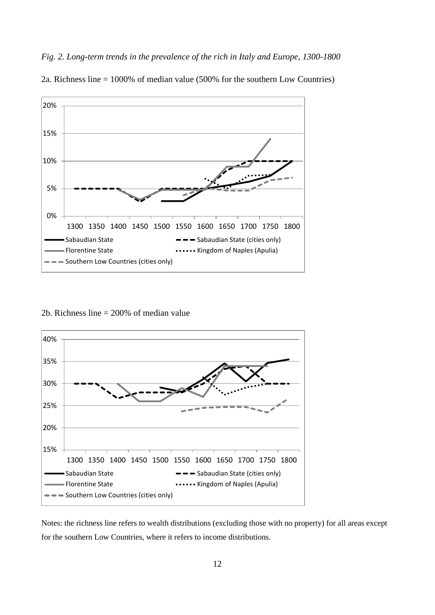

2a. Richness line = 1000% of median value (500% for the southern Low Countries)

#### 2b. Richness line = 200% of median value



Notes: the richness line refers to wealth distributions (excluding those with no property) for all areas except for the southern Low Countries, where it refers to income distributions.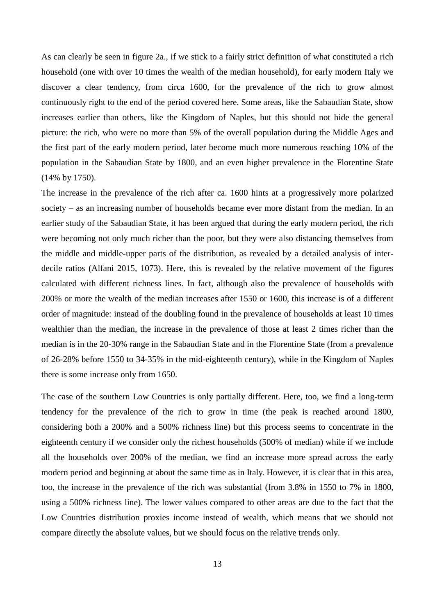As can clearly be seen in figure 2a., if we stick to a fairly strict definition of what constituted a rich household (one with over 10 times the wealth of the median household), for early modern Italy we discover a clear tendency, from circa 1600, for the prevalence of the rich to grow almost continuously right to the end of the period covered here. Some areas, like the Sabaudian State, show increases earlier than others, like the Kingdom of Naples, but this should not hide the general picture: the rich, who were no more than 5% of the overall population during the Middle Ages and the first part of the early modern period, later become much more numerous reaching 10% of the population in the Sabaudian State by 1800, and an even higher prevalence in the Florentine State (14% by 1750).

The increase in the prevalence of the rich after ca. 1600 hints at a progressively more polarized society – as an increasing number of households became ever more distant from the median. In an earlier study of the Sabaudian State, it has been argued that during the early modern period, the rich were becoming not only much richer than the poor, but they were also distancing themselves from the middle and middle-upper parts of the distribution, as revealed by a detailed analysis of interdecile ratios (Alfani 2015, 1073). Here, this is revealed by the relative movement of the figures calculated with different richness lines. In fact, although also the prevalence of households with 200% or more the wealth of the median increases after 1550 or 1600, this increase is of a different order of magnitude: instead of the doubling found in the prevalence of households at least 10 times wealthier than the median, the increase in the prevalence of those at least 2 times richer than the median is in the 20-30% range in the Sabaudian State and in the Florentine State (from a prevalence of 26-28% before 1550 to 34-35% in the mid-eighteenth century), while in the Kingdom of Naples there is some increase only from 1650.

The case of the southern Low Countries is only partially different. Here, too, we find a long-term tendency for the prevalence of the rich to grow in time (the peak is reached around 1800, considering both a 200% and a 500% richness line) but this process seems to concentrate in the eighteenth century if we consider only the richest households (500% of median) while if we include all the households over 200% of the median, we find an increase more spread across the early modern period and beginning at about the same time as in Italy. However, it is clear that in this area, too, the increase in the prevalence of the rich was substantial (from 3.8% in 1550 to 7% in 1800, using a 500% richness line). The lower values compared to other areas are due to the fact that the Low Countries distribution proxies income instead of wealth, which means that we should not compare directly the absolute values, but we should focus on the relative trends only.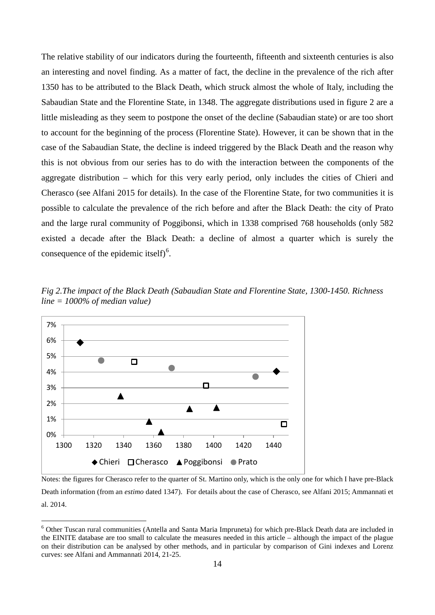The relative stability of our indicators during the fourteenth, fifteenth and sixteenth centuries is also an interesting and novel finding. As a matter of fact, the decline in the prevalence of the rich after 1350 has to be attributed to the Black Death, which struck almost the whole of Italy, including the Sabaudian State and the Florentine State, in 1348. The aggregate distributions used in figure 2 are a little misleading as they seem to postpone the onset of the decline (Sabaudian state) or are too short to account for the beginning of the process (Florentine State). However, it can be shown that in the case of the Sabaudian State, the decline is indeed triggered by the Black Death and the reason why this is not obvious from our series has to do with the interaction between the components of the aggregate distribution – which for this very early period, only includes the cities of Chieri and Cherasco (see Alfani 2015 for details). In the case of the Florentine State, for two communities it is possible to calculate the prevalence of the rich before and after the Black Death: the city of Prato and the large rural community of Poggibonsi, which in 1338 comprised 768 households (only 582 existed a decade after the Black Death: a decline of almost a quarter which is surely the consequence of the epidemic itself) $6$ .



*Fig 2.The impact of the Black Death (Sabaudian State and Florentine State, 1300-1450. Richness line = 1000% of median value)*

Notes: the figures for Cherasco refer to the quarter of St. Martino only, which is the only one for which I have pre-Black Death information (from an *estimo* dated 1347). For details about the case of Cherasco, see Alfani 2015; Ammannati et al. 2014.

<span id="page-14-0"></span> <sup>6</sup> Other Tuscan rural communities (Antella and Santa Maria Impruneta) for which pre-Black Death data are included in the EINITE database are too small to calculate the measures needed in this article – although the impact of the plague on their distribution can be analysed by other methods, and in particular by comparison of Gini indexes and Lorenz curves: see Alfani and Ammannati 2014, 21-25.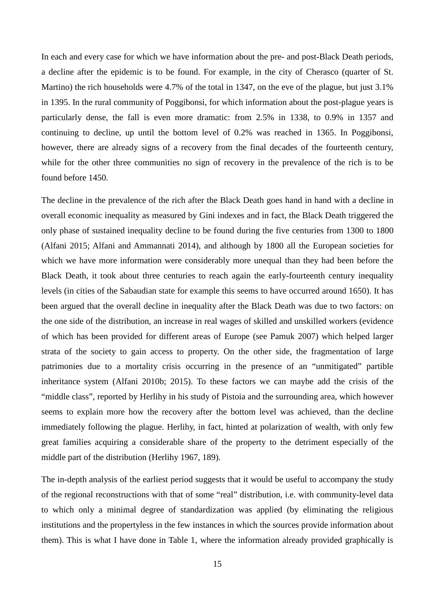In each and every case for which we have information about the pre- and post-Black Death periods, a decline after the epidemic is to be found. For example, in the city of Cherasco (quarter of St. Martino) the rich households were 4.7% of the total in 1347, on the eve of the plague, but just 3.1% in 1395. In the rural community of Poggibonsi, for which information about the post-plague years is particularly dense, the fall is even more dramatic: from 2.5% in 1338, to 0.9% in 1357 and continuing to decline, up until the bottom level of 0.2% was reached in 1365. In Poggibonsi, however, there are already signs of a recovery from the final decades of the fourteenth century, while for the other three communities no sign of recovery in the prevalence of the rich is to be found before 1450.

The decline in the prevalence of the rich after the Black Death goes hand in hand with a decline in overall economic inequality as measured by Gini indexes and in fact, the Black Death triggered the only phase of sustained inequality decline to be found during the five centuries from 1300 to 1800 (Alfani 2015; Alfani and Ammannati 2014), and although by 1800 all the European societies for which we have more information were considerably more unequal than they had been before the Black Death, it took about three centuries to reach again the early-fourteenth century inequality levels (in cities of the Sabaudian state for example this seems to have occurred around 1650). It has been argued that the overall decline in inequality after the Black Death was due to two factors: on the one side of the distribution, an increase in real wages of skilled and unskilled workers (evidence of which has been provided for different areas of Europe (see Pamuk 2007) which helped larger strata of the society to gain access to property. On the other side, the fragmentation of large patrimonies due to a mortality crisis occurring in the presence of an "unmitigated" partible inheritance system (Alfani 2010b; 2015). To these factors we can maybe add the crisis of the "middle class", reported by Herlihy in his study of Pistoia and the surrounding area, which however seems to explain more how the recovery after the bottom level was achieved, than the decline immediately following the plague. Herlihy, in fact, hinted at polarization of wealth, with only few great families acquiring a considerable share of the property to the detriment especially of the middle part of the distribution (Herlihy 1967, 189).

The in-depth analysis of the earliest period suggests that it would be useful to accompany the study of the regional reconstructions with that of some "real" distribution, i.e. with community-level data to which only a minimal degree of standardization was applied (by eliminating the religious institutions and the propertyless in the few instances in which the sources provide information about them). This is what I have done in Table 1, where the information already provided graphically is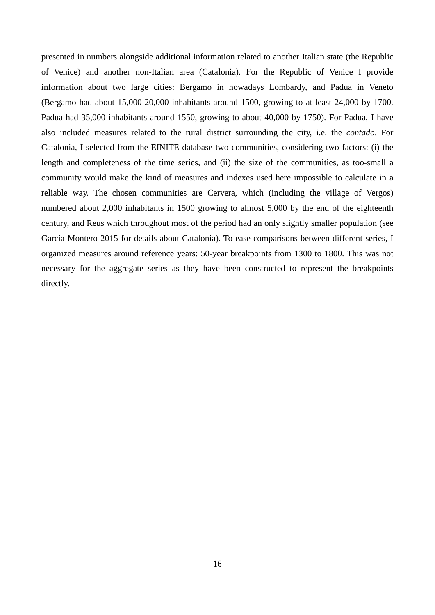presented in numbers alongside additional information related to another Italian state (the Republic of Venice) and another non-Italian area (Catalonia). For the Republic of Venice I provide information about two large cities: Bergamo in nowadays Lombardy, and Padua in Veneto (Bergamo had about 15,000-20,000 inhabitants around 1500, growing to at least 24,000 by 1700. Padua had 35,000 inhabitants around 1550, growing to about 40,000 by 1750). For Padua, I have also included measures related to the rural district surrounding the city, i.e. the *contado*. For Catalonia, I selected from the EINITE database two communities, considering two factors: (i) the length and completeness of the time series, and (ii) the size of the communities, as too-small a community would make the kind of measures and indexes used here impossible to calculate in a reliable way. The chosen communities are Cervera, which (including the village of Vergos) numbered about 2,000 inhabitants in 1500 growing to almost 5,000 by the end of the eighteenth century, and Reus which throughout most of the period had an only slightly smaller population (see García Montero 2015 for details about Catalonia). To ease comparisons between different series, I organized measures around reference years: 50-year breakpoints from 1300 to 1800. This was not necessary for the aggregate series as they have been constructed to represent the breakpoints directly.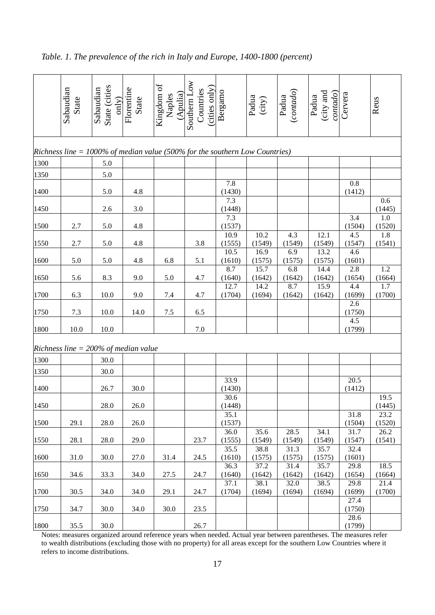|                                                                                | Sabaudian<br>State | State (cities<br>Sabaudian              | $\frac{only)}{Florentine}$<br>State | Kingdom of<br>(Apulia)<br>Naples | Southern Low<br>$\overline{\text{cities only}}$<br>Countries | Bergamo        | Padua<br>(city) | Padua<br>( <i>contado</i> ) | Padua<br>(city and | contado)<br>Cervera        | Reus                       |  |  |
|--------------------------------------------------------------------------------|--------------------|-----------------------------------------|-------------------------------------|----------------------------------|--------------------------------------------------------------|----------------|-----------------|-----------------------------|--------------------|----------------------------|----------------------------|--|--|
| Richness line = $1000\%$ of median value (500% for the southern Low Countries) |                    |                                         |                                     |                                  |                                                              |                |                 |                             |                    |                            |                            |  |  |
| 1300                                                                           |                    | 5.0                                     |                                     |                                  |                                                              |                |                 |                             |                    |                            |                            |  |  |
| 1350                                                                           |                    | 5.0                                     |                                     |                                  |                                                              |                |                 |                             |                    |                            |                            |  |  |
| 1400                                                                           |                    | 5.0                                     | 4.8                                 |                                  |                                                              | 7.8<br>(1430)  |                 |                             |                    | $0.8\,$<br>(1412)          |                            |  |  |
| 1450                                                                           |                    | 2.6                                     | 3.0                                 |                                  |                                                              | 7.3<br>(1448)  |                 |                             |                    |                            | 0.6<br>(1445)              |  |  |
| 1500                                                                           | 2.7                | 5.0                                     | 4.8                                 |                                  |                                                              | 7.3<br>(1537)  |                 |                             |                    | $\overline{3.4}$<br>(1504) | $\overline{1.0}$<br>(1520) |  |  |
| 1550                                                                           | 2.7                | 5.0                                     | 4.8                                 |                                  | 3.8                                                          | 10.9<br>(1555) | 10.2<br>(1549)  | 4.3<br>(1549)               | 12.1<br>(1549)     | 4.5<br>(1547)              | 1.8<br>(1541)              |  |  |
| 1600                                                                           | 5.0                | 5.0                                     | 4.8                                 | 6.8                              | 5.1                                                          | 10.5<br>(1610) | 16.9<br>(1575)  | 6.9<br>(1575)               | 13.2<br>(1575)     | 4.6<br>(1601)              |                            |  |  |
| 1650                                                                           | 5.6                | 8.3                                     | 9.0                                 | 5.0                              | 4.7                                                          | 8.7<br>(1640)  | 15.7<br>(1642)  | 6.8<br>(1642)               | 14.4<br>(1642)     | 2.8<br>(1654)              | 1.2<br>(1664)              |  |  |
| 1700                                                                           | 6.3                | 10.0                                    | 9.0                                 | 7.4                              | 4.7                                                          | 12.7<br>(1704) | 14.2<br>(1694)  | 8.7<br>(1642)               | 15.9<br>(1642)     | 4.4<br>(1699)              | 1.7<br>(1700)              |  |  |
| 1750                                                                           | 7.3                | 10.0                                    | 14.0                                | 7.5                              | 6.5                                                          |                |                 |                             |                    | 2.6<br>(1750)              |                            |  |  |
| 1800                                                                           | 10.0               | 10.0                                    |                                     |                                  | $7.0\,$                                                      |                |                 |                             |                    | 4.5<br>(1799)              |                            |  |  |
|                                                                                |                    | Richness line = $200\%$ of median value |                                     |                                  |                                                              |                |                 |                             |                    |                            |                            |  |  |
| 1300                                                                           |                    | 30.0                                    |                                     |                                  |                                                              |                |                 |                             |                    |                            |                            |  |  |
| 1350                                                                           |                    | 30.0                                    |                                     |                                  |                                                              |                |                 |                             |                    |                            |                            |  |  |
| 1400                                                                           |                    | 26.7                                    | 30.0                                |                                  |                                                              | 33.9<br>(1430) |                 |                             |                    | 20.5<br>(1412)             |                            |  |  |
| 1450                                                                           |                    | 28.0                                    | 26.0                                |                                  |                                                              | 30.6<br>(1448) |                 |                             |                    |                            | 19.5<br>(1445)             |  |  |
| 1500                                                                           | 29.1               | 28.0                                    | 26.0                                |                                  |                                                              | 35.1<br>(1537) |                 |                             |                    | 31.8<br>(1504)             | 23.2<br>(1520)             |  |  |
|                                                                                |                    |                                         |                                     |                                  |                                                              | 36.0           | 35.6            | 28.5                        | 34.1               | 31.7                       | 26.2                       |  |  |
| 1550                                                                           | 28.1               | 28.0                                    | 29.0                                |                                  | 23.7                                                         | (1555)         | (1549)          | (1549)                      | (1549)             | (1547)                     | (1541)                     |  |  |
| 1600                                                                           | 31.0               | 30.0                                    | 27.0                                | 31.4                             | 24.5                                                         | 35.5<br>(1610) | 38.8<br>(1575)  | 31.3<br>(1575)              | 35.7<br>(1575)     | 32.4<br>(1601)             |                            |  |  |
| 1650                                                                           | 34.6               | 33.3                                    | 34.0                                | 27.5                             | 24.7                                                         | 36.3<br>(1640) | 37.2<br>(1642)  | 31.4<br>(1642)              | 35.7<br>(1642)     | 29.8<br>(1654)             | 18.5<br>(1664)             |  |  |
| 1700                                                                           | 30.5               | 34.0                                    | 34.0                                | 29.1                             | 24.7                                                         | 37.1<br>(1704) | 38.1<br>(1694)  | 32.0<br>(1694)              | 38.5<br>(1694)     | 29.8<br>(1699)             | 21.4<br>(1700)             |  |  |
| 1750                                                                           | 34.7               | 30.0                                    | 34.0                                | 30.0                             | 23.5                                                         |                |                 |                             |                    | 27.4<br>(1750)             |                            |  |  |
| 1800                                                                           | 35.5               | 30.0                                    |                                     |                                  | 26.7                                                         |                |                 |                             |                    | 28.6<br>(1799)             |                            |  |  |

# *Table. 1. The prevalence of the rich in Italy and Europe, 1400-1800 (percent)*

Notes: measures organized around reference years when needed. Actual year between parentheses. The measures refer to wealth distributions (excluding those with no property) for all areas except for the southern Low Countries where it refers to income distributions.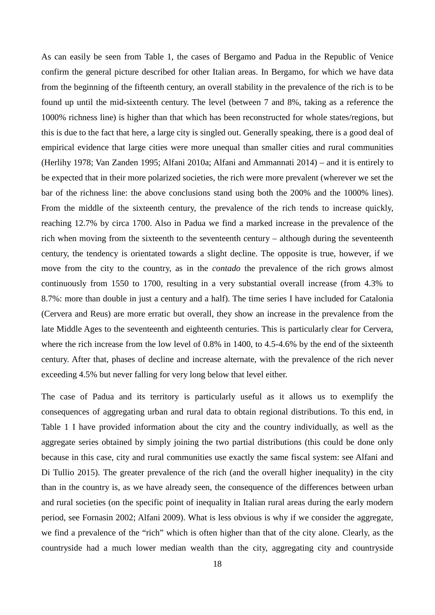As can easily be seen from Table 1, the cases of Bergamo and Padua in the Republic of Venice confirm the general picture described for other Italian areas. In Bergamo, for which we have data from the beginning of the fifteenth century, an overall stability in the prevalence of the rich is to be found up until the mid-sixteenth century. The level (between 7 and 8%, taking as a reference the 1000% richness line) is higher than that which has been reconstructed for whole states/regions, but this is due to the fact that here, a large city is singled out. Generally speaking, there is a good deal of empirical evidence that large cities were more unequal than smaller cities and rural communities (Herlihy 1978; Van Zanden 1995; Alfani 2010a; Alfani and Ammannati 2014) – and it is entirely to be expected that in their more polarized societies, the rich were more prevalent (wherever we set the bar of the richness line: the above conclusions stand using both the 200% and the 1000% lines). From the middle of the sixteenth century, the prevalence of the rich tends to increase quickly, reaching 12.7% by circa 1700. Also in Padua we find a marked increase in the prevalence of the rich when moving from the sixteenth to the seventeenth century – although during the seventeenth century, the tendency is orientated towards a slight decline. The opposite is true, however, if we move from the city to the country, as in the *contado* the prevalence of the rich grows almost continuously from 1550 to 1700, resulting in a very substantial overall increase (from 4.3% to 8.7%: more than double in just a century and a half). The time series I have included for Catalonia (Cervera and Reus) are more erratic but overall, they show an increase in the prevalence from the late Middle Ages to the seventeenth and eighteenth centuries. This is particularly clear for Cervera, where the rich increase from the low level of 0.8% in 1400, to 4.5-4.6% by the end of the sixteenth century. After that, phases of decline and increase alternate, with the prevalence of the rich never exceeding 4.5% but never falling for very long below that level either.

The case of Padua and its territory is particularly useful as it allows us to exemplify the consequences of aggregating urban and rural data to obtain regional distributions. To this end, in Table 1 I have provided information about the city and the country individually, as well as the aggregate series obtained by simply joining the two partial distributions (this could be done only because in this case, city and rural communities use exactly the same fiscal system: see Alfani and Di Tullio 2015). The greater prevalence of the rich (and the overall higher inequality) in the city than in the country is, as we have already seen, the consequence of the differences between urban and rural societies (on the specific point of inequality in Italian rural areas during the early modern period, see Fornasin 2002; Alfani 2009). What is less obvious is why if we consider the aggregate, we find a prevalence of the "rich" which is often higher than that of the city alone. Clearly, as the countryside had a much lower median wealth than the city, aggregating city and countryside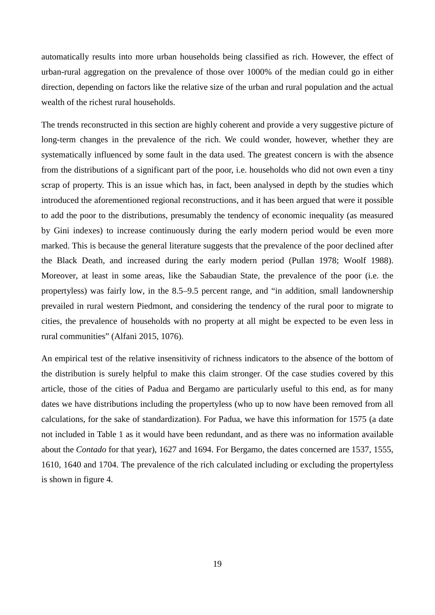automatically results into more urban households being classified as rich. However, the effect of urban-rural aggregation on the prevalence of those over 1000% of the median could go in either direction, depending on factors like the relative size of the urban and rural population and the actual wealth of the richest rural households.

The trends reconstructed in this section are highly coherent and provide a very suggestive picture of long-term changes in the prevalence of the rich. We could wonder, however, whether they are systematically influenced by some fault in the data used. The greatest concern is with the absence from the distributions of a significant part of the poor, i.e. households who did not own even a tiny scrap of property. This is an issue which has, in fact, been analysed in depth by the studies which introduced the aforementioned regional reconstructions, and it has been argued that were it possible to add the poor to the distributions, presumably the tendency of economic inequality (as measured by Gini indexes) to increase continuously during the early modern period would be even more marked. This is because the general literature suggests that the prevalence of the poor declined after the Black Death, and increased during the early modern period (Pullan 1978; Woolf 1988). Moreover, at least in some areas, like the Sabaudian State, the prevalence of the poor (i.e. the propertyless) was fairly low, in the 8.5–9.5 percent range, and "in addition, small landownership prevailed in rural western Piedmont, and considering the tendency of the rural poor to migrate to cities, the prevalence of households with no property at all might be expected to be even less in rural communities" (Alfani 2015, 1076).

An empirical test of the relative insensitivity of richness indicators to the absence of the bottom of the distribution is surely helpful to make this claim stronger. Of the case studies covered by this article, those of the cities of Padua and Bergamo are particularly useful to this end, as for many dates we have distributions including the propertyless (who up to now have been removed from all calculations, for the sake of standardization). For Padua, we have this information for 1575 (a date not included in Table 1 as it would have been redundant, and as there was no information available about the *Contado* for that year), 1627 and 1694. For Bergamo, the dates concerned are 1537, 1555, 1610, 1640 and 1704. The prevalence of the rich calculated including or excluding the propertyless is shown in figure 4.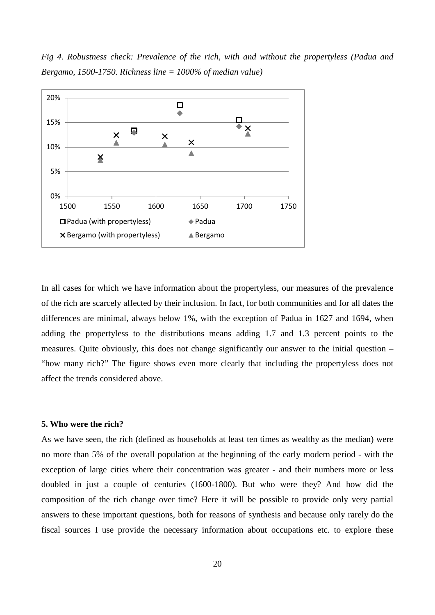*Fig 4. Robustness check: Prevalence of the rich, with and without the propertyless (Padua and Bergamo, 1500-1750. Richness line = 1000% of median value)*



In all cases for which we have information about the propertyless, our measures of the prevalence of the rich are scarcely affected by their inclusion. In fact, for both communities and for all dates the differences are minimal, always below 1%, with the exception of Padua in 1627 and 1694, when adding the propertyless to the distributions means adding 1.7 and 1.3 percent points to the measures. Quite obviously, this does not change significantly our answer to the initial question – "how many rich?" The figure shows even more clearly that including the propertyless does not affect the trends considered above.

#### **5. Who were the rich?**

As we have seen, the rich (defined as households at least ten times as wealthy as the median) were no more than 5% of the overall population at the beginning of the early modern period - with the exception of large cities where their concentration was greater - and their numbers more or less doubled in just a couple of centuries (1600-1800). But who were they? And how did the composition of the rich change over time? Here it will be possible to provide only very partial answers to these important questions, both for reasons of synthesis and because only rarely do the fiscal sources I use provide the necessary information about occupations etc. to explore these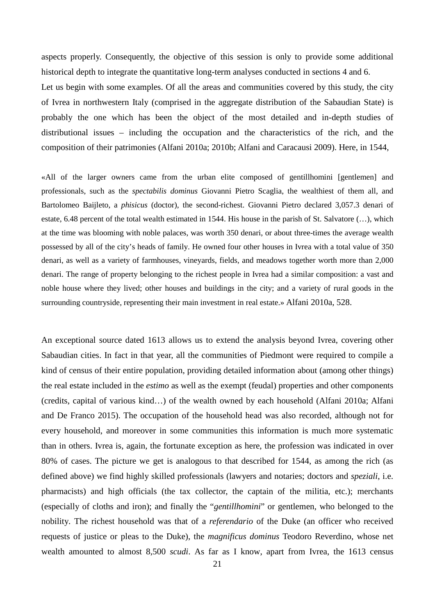aspects properly. Consequently, the objective of this session is only to provide some additional historical depth to integrate the quantitative long-term analyses conducted in sections 4 and 6. Let us begin with some examples. Of all the areas and communities covered by this study, the city of Ivrea in northwestern Italy (comprised in the aggregate distribution of the Sabaudian State) is probably the one which has been the object of the most detailed and in-depth studies of distributional issues – including the occupation and the characteristics of the rich, and the composition of their patrimonies (Alfani 2010a; 2010b; Alfani and Caracausi 2009). Here, in 1544,

«All of the larger owners came from the urban elite composed of gentillhomini [gentlemen] and professionals, such as the *spectabilis dominus* Giovanni Pietro Scaglia, the wealthiest of them all, and Bartolomeo Baijleto, a *phisicus* (doctor), the second-richest. Giovanni Pietro declared 3,057.3 denari of estate, 6.48 percent of the total wealth estimated in 1544. His house in the parish of St. Salvatore (…), which at the time was blooming with noble palaces, was worth 350 denari, or about three-times the average wealth possessed by all of the city's heads of family. He owned four other houses in Ivrea with a total value of 350 denari, as well as a variety of farmhouses, vineyards, fields, and meadows together worth more than 2,000 denari. The range of property belonging to the richest people in Ivrea had a similar composition: a vast and noble house where they lived; other houses and buildings in the city; and a variety of rural goods in the surrounding countryside, representing their main investment in real estate.» Alfani 2010a, 528.

An exceptional source dated 1613 allows us to extend the analysis beyond Ivrea, covering other Sabaudian cities. In fact in that year, all the communities of Piedmont were required to compile a kind of census of their entire population, providing detailed information about (among other things) the real estate included in the *estimo* as well as the exempt (feudal) properties and other components (credits, capital of various kind…) of the wealth owned by each household (Alfani 2010a; Alfani and De Franco 2015). The occupation of the household head was also recorded, although not for every household, and moreover in some communities this information is much more systematic than in others. Ivrea is, again, the fortunate exception as here, the profession was indicated in over 80% of cases. The picture we get is analogous to that described for 1544, as among the rich (as defined above) we find highly skilled professionals (lawyers and notaries; doctors and *speziali*, i.e. pharmacists) and high officials (the tax collector, the captain of the militia, etc.); merchants (especially of cloths and iron); and finally the "*gentillhomini*" or gentlemen, who belonged to the nobility. The richest household was that of a *referendario* of the Duke (an officer who received requests of justice or pleas to the Duke), the *magnificus dominus* Teodoro Reverdino, whose net wealth amounted to almost 8,500 *scudi*. As far as I know, apart from Ivrea, the 1613 census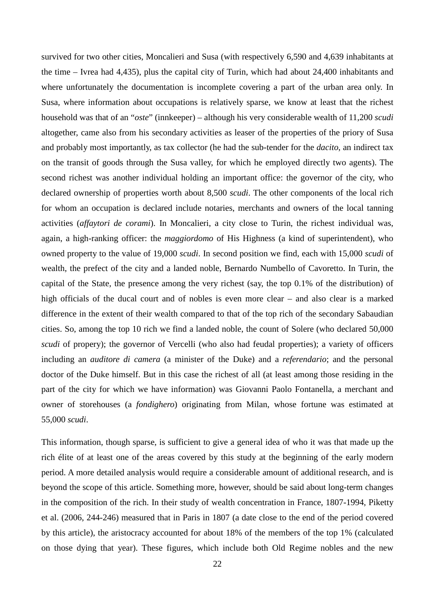survived for two other cities, Moncalieri and Susa (with respectively 6,590 and 4,639 inhabitants at the time – Ivrea had 4,435), plus the capital city of Turin, which had about 24,400 inhabitants and where unfortunately the documentation is incomplete covering a part of the urban area only. In Susa, where information about occupations is relatively sparse, we know at least that the richest household was that of an "*oste*" (innkeeper) – although his very considerable wealth of 11,200 *scudi* altogether, came also from his secondary activities as leaser of the properties of the priory of Susa and probably most importantly, as tax collector (he had the sub-tender for the *dacito*, an indirect tax on the transit of goods through the Susa valley, for which he employed directly two agents). The second richest was another individual holding an important office: the governor of the city, who declared ownership of properties worth about 8,500 *scudi*. The other components of the local rich for whom an occupation is declared include notaries, merchants and owners of the local tanning activities (*affaytori de corami*). In Moncalieri, a city close to Turin, the richest individual was, again, a high-ranking officer: the *maggiordomo* of His Highness (a kind of superintendent), who owned property to the value of 19,000 *scudi*. In second position we find, each with 15,000 *scudi* of wealth, the prefect of the city and a landed noble, Bernardo Numbello of Cavoretto. In Turin, the capital of the State, the presence among the very richest (say, the top 0.1% of the distribution) of high officials of the ducal court and of nobles is even more clear – and also clear is a marked difference in the extent of their wealth compared to that of the top rich of the secondary Sabaudian cities. So, among the top 10 rich we find a landed noble, the count of Solere (who declared 50,000 *scudi* of propery); the governor of Vercelli (who also had feudal properties); a variety of officers including an *auditore di camera* (a minister of the Duke) and a *referendario*; and the personal doctor of the Duke himself. But in this case the richest of all (at least among those residing in the part of the city for which we have information) was Giovanni Paolo Fontanella, a merchant and owner of storehouses (a *fondighero*) originating from Milan, whose fortune was estimated at 55,000 *scudi*.

This information, though sparse, is sufficient to give a general idea of who it was that made up the rich élite of at least one of the areas covered by this study at the beginning of the early modern period. A more detailed analysis would require a considerable amount of additional research, and is beyond the scope of this article. Something more, however, should be said about long-term changes in the composition of the rich. In their study of wealth concentration in France, 1807-1994, Piketty et al. (2006, 244-246) measured that in Paris in 1807 (a date close to the end of the period covered by this article), the aristocracy accounted for about 18% of the members of the top 1% (calculated on those dying that year). These figures, which include both Old Regime nobles and the new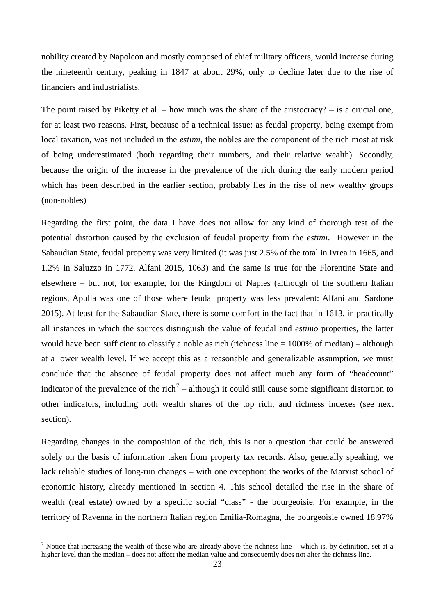nobility created by Napoleon and mostly composed of chief military officers, would increase during the nineteenth century, peaking in 1847 at about 29%, only to decline later due to the rise of financiers and industrialists.

The point raised by Piketty et al. – how much was the share of the aristocracy? – is a crucial one, for at least two reasons. First, because of a technical issue: as feudal property, being exempt from local taxation, was not included in the *estimi*, the nobles are the component of the rich most at risk of being underestimated (both regarding their numbers, and their relative wealth). Secondly, because the origin of the increase in the prevalence of the rich during the early modern period which has been described in the earlier section, probably lies in the rise of new wealthy groups (non-nobles)

Regarding the first point, the data I have does not allow for any kind of thorough test of the potential distortion caused by the exclusion of feudal property from the *estimi*. However in the Sabaudian State, feudal property was very limited (it was just 2.5% of the total in Ivrea in 1665, and 1.2% in Saluzzo in 1772. Alfani 2015, 1063) and the same is true for the Florentine State and elsewhere – but not, for example, for the Kingdom of Naples (although of the southern Italian regions, Apulia was one of those where feudal property was less prevalent: Alfani and Sardone 2015). At least for the Sabaudian State, there is some comfort in the fact that in 1613, in practically all instances in which the sources distinguish the value of feudal and *estimo* properties, the latter would have been sufficient to classify a noble as rich (richness line  $= 1000\%$  of median) – although at a lower wealth level. If we accept this as a reasonable and generalizable assumption, we must conclude that the absence of feudal property does not affect much any form of "headcount" indicator of the prevalence of the rich<sup>[7](#page-23-0)</sup> – although it could still cause some significant distortion to other indicators, including both wealth shares of the top rich, and richness indexes (see next section).

Regarding changes in the composition of the rich, this is not a question that could be answered solely on the basis of information taken from property tax records. Also, generally speaking, we lack reliable studies of long-run changes – with one exception: the works of the Marxist school of economic history, already mentioned in section 4. This school detailed the rise in the share of wealth (real estate) owned by a specific social "class" - the bourgeoisie. For example, in the territory of Ravenna in the northern Italian region Emilia-Romagna, the bourgeoisie owned 18.97%

<span id="page-23-0"></span><sup>&</sup>lt;sup>7</sup> Notice that increasing the wealth of those who are already above the richness line – which is, by definition, set at a higher level than the median – does not affect the median value and consequently does not alter the richness line.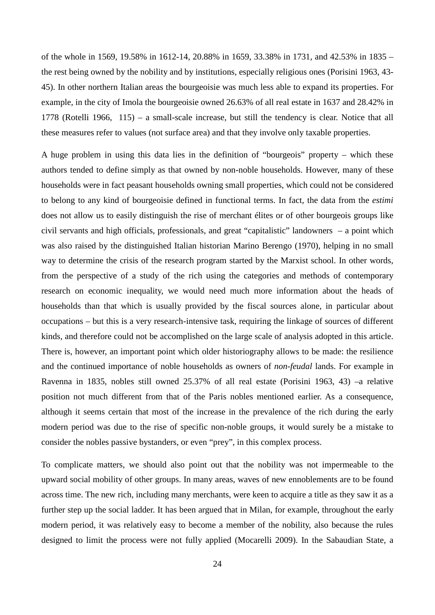of the whole in 1569, 19.58% in 1612-14, 20.88% in 1659, 33.38% in 1731, and 42.53% in 1835 – the rest being owned by the nobility and by institutions, especially religious ones (Porisini 1963, 43- 45). In other northern Italian areas the bourgeoisie was much less able to expand its properties. For example, in the city of Imola the bourgeoisie owned 26.63% of all real estate in 1637 and 28.42% in 1778 (Rotelli 1966, 115) – a small-scale increase, but still the tendency is clear. Notice that all these measures refer to values (not surface area) and that they involve only taxable properties.

A huge problem in using this data lies in the definition of "bourgeois" property – which these authors tended to define simply as that owned by non-noble households. However, many of these households were in fact peasant households owning small properties, which could not be considered to belong to any kind of bourgeoisie defined in functional terms. In fact, the data from the *estimi*  does not allow us to easily distinguish the rise of merchant élites or of other bourgeois groups like civil servants and high officials, professionals, and great "capitalistic" landowners – a point which was also raised by the distinguished Italian historian Marino Berengo (1970), helping in no small way to determine the crisis of the research program started by the Marxist school. In other words, from the perspective of a study of the rich using the categories and methods of contemporary research on economic inequality, we would need much more information about the heads of households than that which is usually provided by the fiscal sources alone, in particular about occupations – but this is a very research-intensive task, requiring the linkage of sources of different kinds, and therefore could not be accomplished on the large scale of analysis adopted in this article. There is, however, an important point which older historiography allows to be made: the resilience and the continued importance of noble households as owners of *non-feudal* lands. For example in Ravenna in 1835, nobles still owned 25.37% of all real estate (Porisini 1963, 43) –a relative position not much different from that of the Paris nobles mentioned earlier. As a consequence, although it seems certain that most of the increase in the prevalence of the rich during the early modern period was due to the rise of specific non-noble groups, it would surely be a mistake to consider the nobles passive bystanders, or even "prey", in this complex process.

To complicate matters, we should also point out that the nobility was not impermeable to the upward social mobility of other groups. In many areas, waves of new ennoblements are to be found across time. The new rich, including many merchants, were keen to acquire a title as they saw it as a further step up the social ladder. It has been argued that in Milan, for example, throughout the early modern period, it was relatively easy to become a member of the nobility, also because the rules designed to limit the process were not fully applied (Mocarelli 2009). In the Sabaudian State, a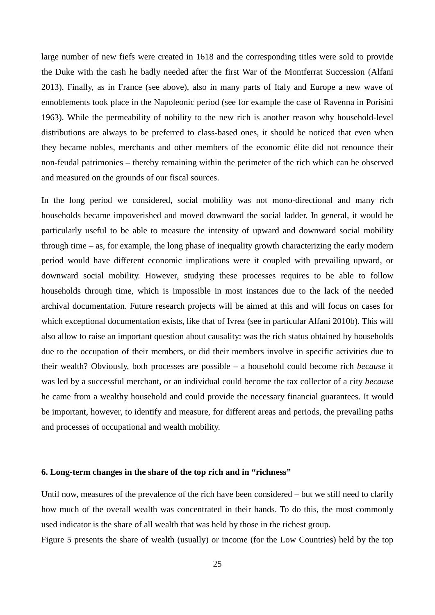large number of new fiefs were created in 1618 and the corresponding titles were sold to provide the Duke with the cash he badly needed after the first War of the Montferrat Succession (Alfani 2013). Finally, as in France (see above), also in many parts of Italy and Europe a new wave of ennoblements took place in the Napoleonic period (see for example the case of Ravenna in Porisini 1963). While the permeability of nobility to the new rich is another reason why household-level distributions are always to be preferred to class-based ones, it should be noticed that even when they became nobles, merchants and other members of the economic élite did not renounce their non-feudal patrimonies – thereby remaining within the perimeter of the rich which can be observed and measured on the grounds of our fiscal sources.

In the long period we considered, social mobility was not mono-directional and many rich households became impoverished and moved downward the social ladder. In general, it would be particularly useful to be able to measure the intensity of upward and downward social mobility through time – as, for example, the long phase of inequality growth characterizing the early modern period would have different economic implications were it coupled with prevailing upward, or downward social mobility. However, studying these processes requires to be able to follow households through time, which is impossible in most instances due to the lack of the needed archival documentation. Future research projects will be aimed at this and will focus on cases for which exceptional documentation exists, like that of Ivrea (see in particular Alfani 2010b). This will also allow to raise an important question about causality: was the rich status obtained by households due to the occupation of their members, or did their members involve in specific activities due to their wealth? Obviously, both processes are possible – a household could become rich *because* it was led by a successful merchant, or an individual could become the tax collector of a city *because* he came from a wealthy household and could provide the necessary financial guarantees. It would be important, however, to identify and measure, for different areas and periods, the prevailing paths and processes of occupational and wealth mobility.

#### **6. Long-term changes in the share of the top rich and in "richness"**

Until now, measures of the prevalence of the rich have been considered – but we still need to clarify how much of the overall wealth was concentrated in their hands. To do this, the most commonly used indicator is the share of all wealth that was held by those in the richest group.

Figure 5 presents the share of wealth (usually) or income (for the Low Countries) held by the top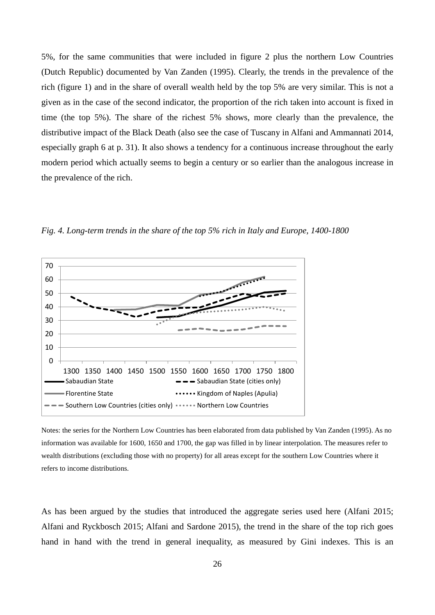5%, for the same communities that were included in figure 2 plus the northern Low Countries (Dutch Republic) documented by Van Zanden (1995). Clearly, the trends in the prevalence of the rich (figure 1) and in the share of overall wealth held by the top 5% are very similar. This is not a given as in the case of the second indicator, the proportion of the rich taken into account is fixed in time (the top 5%). The share of the richest 5% shows, more clearly than the prevalence, the distributive impact of the Black Death (also see the case of Tuscany in Alfani and Ammannati 2014, especially graph 6 at p. 31). It also shows a tendency for a continuous increase throughout the early modern period which actually seems to begin a century or so earlier than the analogous increase in the prevalence of the rich.



*Fig. 4. Long-term trends in the share of the top 5% rich in Italy and Europe, 1400-1800*

Notes: the series for the Northern Low Countries has been elaborated from data published by Van Zanden (1995). As no information was available for 1600, 1650 and 1700, the gap was filled in by linear interpolation. The measures refer to wealth distributions (excluding those with no property) for all areas except for the southern Low Countries where it refers to income distributions.

As has been argued by the studies that introduced the aggregate series used here (Alfani 2015; Alfani and Ryckbosch 2015; Alfani and Sardone 2015), the trend in the share of the top rich goes hand in hand with the trend in general inequality, as measured by Gini indexes. This is an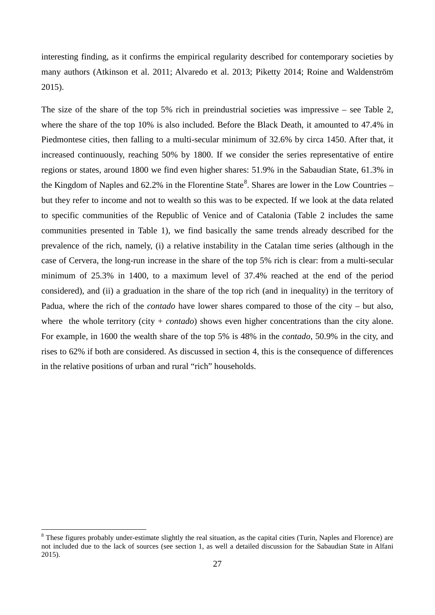interesting finding, as it confirms the empirical regularity described for contemporary societies by many authors (Atkinson et al. 2011; Alvaredo et al. 2013; Piketty 2014; Roine and Waldenström 2015).

The size of the share of the top 5% rich in preindustrial societies was impressive – see Table 2, where the share of the top 10% is also included. Before the Black Death, it amounted to 47.4% in Piedmontese cities, then falling to a multi-secular minimum of 32.6% by circa 1450. After that, it increased continuously, reaching 50% by 1800. If we consider the series representative of entire regions or states, around 1800 we find even higher shares: 51.9% in the Sabaudian State, 61.3% in the Kingdom of Naples and 62.2% in the Florentine State<sup>[8](#page-27-0)</sup>. Shares are lower in the Low Countries – but they refer to income and not to wealth so this was to be expected. If we look at the data related to specific communities of the Republic of Venice and of Catalonia (Table 2 includes the same communities presented in Table 1), we find basically the same trends already described for the prevalence of the rich, namely, (i) a relative instability in the Catalan time series (although in the case of Cervera, the long-run increase in the share of the top 5% rich is clear: from a multi-secular minimum of 25.3% in 1400, to a maximum level of 37.4% reached at the end of the period considered), and (ii) a graduation in the share of the top rich (and in inequality) in the territory of Padua, where the rich of the *contado* have lower shares compared to those of the city – but also, where the whole territory (city + *contado*) shows even higher concentrations than the city alone. For example, in 1600 the wealth share of the top 5% is 48% in the *contado*, 50.9% in the city, and rises to 62% if both are considered. As discussed in section 4, this is the consequence of differences in the relative positions of urban and rural "rich" households.

<span id="page-27-0"></span><sup>&</sup>lt;sup>8</sup> These figures probably under-estimate slightly the real situation, as the capital cities (Turin, Naples and Florence) are not included due to the lack of sources (see section 1, as well a detailed discussion for the Sabaudian State in Alfani 2015).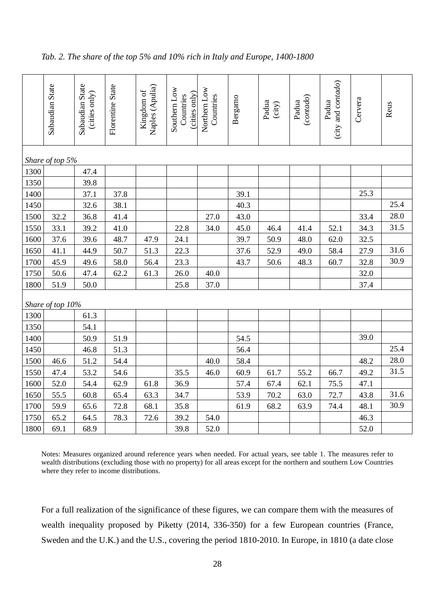|                  | Sabaudian State | Sabaudian State<br>(cities only) | Florentine State | Naples (Apulia)<br>Kingdom of | Southern Low<br>(cities only)<br>Countries | Northern Low<br>Countries | Bergamo | Padua<br>(city) | (contado)<br>Padua | (city and contado)<br>Padua | Cervera | Reus |
|------------------|-----------------|----------------------------------|------------------|-------------------------------|--------------------------------------------|---------------------------|---------|-----------------|--------------------|-----------------------------|---------|------|
| Share of top 5%  |                 |                                  |                  |                               |                                            |                           |         |                 |                    |                             |         |      |
| 1300             |                 | 47.4                             |                  |                               |                                            |                           |         |                 |                    |                             |         |      |
| 1350             |                 | 39.8                             |                  |                               |                                            |                           |         |                 |                    |                             |         |      |
| 1400             |                 | 37.1                             | 37.8             |                               |                                            |                           | 39.1    |                 |                    |                             | 25.3    |      |
| 1450             |                 | 32.6                             | 38.1             |                               |                                            |                           | 40.3    |                 |                    |                             |         | 25.4 |
| 1500             | 32.2            | 36.8                             | 41.4             |                               |                                            | 27.0                      | 43.0    |                 |                    |                             | 33.4    | 28.0 |
| 1550             | 33.1            | 39.2                             | 41.0             |                               | 22.8                                       | 34.0                      | 45.0    | 46.4            | 41.4               | 52.1                        | 34.3    | 31.5 |
| 1600             | 37.6            | 39.6                             | 48.7             | 47.9                          | 24.1                                       |                           | 39.7    | 50.9            | 48.0               | 62.0                        | 32.5    |      |
| 1650             | 41.1            | 44.9                             | 50.7             | 51.3                          | 22.3                                       |                           | 37.6    | 52.9            | 49.0               | 58.4                        | 27.9    | 31.6 |
| 1700             | 45.9            | 49.6                             | 58.0             | 56.4                          | 23.3                                       |                           | 43.7    | 50.6            | 48.3               | 60.7                        | 32.8    | 30.9 |
| 1750             | 50.6            | 47.4                             | 62.2             | 61.3                          | 26.0                                       | 40.0                      |         |                 |                    |                             | 32.0    |      |
| 1800             | 51.9            | 50.0                             |                  |                               | 25.8                                       | 37.0                      |         |                 |                    |                             | 37.4    |      |
| Share of top 10% |                 |                                  |                  |                               |                                            |                           |         |                 |                    |                             |         |      |
| 1300             |                 | 61.3                             |                  |                               |                                            |                           |         |                 |                    |                             |         |      |
| 1350             |                 | 54.1                             |                  |                               |                                            |                           |         |                 |                    |                             |         |      |
| 1400             |                 | 50.9                             | 51.9             |                               |                                            |                           | 54.5    |                 |                    |                             | 39.0    |      |
| 1450             |                 | 46.8                             | 51.3             |                               |                                            |                           | 56.4    |                 |                    |                             |         | 25.4 |
| 1500             | 46.6            | 51.2                             | 54.4             |                               |                                            | 40.0                      | 58.4    |                 |                    |                             | 48.2    | 28.0 |
| 1550             | 47.4            | 53.2                             | 54.6             |                               | 35.5                                       | 46.0                      | 60.9    | 61.7            | 55.2               | 66.7                        | 49.2    | 31.5 |
| 1600             | 52.0            | 54.4                             | 62.9             | 61.8                          | 36.9                                       |                           | 57.4    | 67.4            | 62.1               | 75.5                        | 47.1    |      |
| 1650             | 55.5            | 60.8                             | 65.4             | 63.3                          | 34.7                                       |                           | 53.9    | 70.2            | 63.0               | 72.7                        | 43.8    | 31.6 |
| 1700             | 59.9            | 65.6                             | 72.8             | 68.1                          | 35.8                                       |                           | 61.9    | 68.2            | 63.9               | 74.4                        | 48.1    | 30.9 |
| 1750             | 65.2            | 64.5                             | 78.3             | 72.6                          | 39.2                                       | 54.0                      |         |                 |                    |                             | 46.3    |      |
| 1800             | 69.1            | 68.9                             |                  |                               | 39.8                                       | 52.0                      |         |                 |                    |                             | 52.0    |      |

#### *Tab. 2. The share of the top 5% and 10% rich in Italy and Europe, 1400-1800*

Notes: Measures organized around reference years when needed. For actual years, see table 1. The measures refer to wealth distributions (excluding those with no property) for all areas except for the northern and southern Low Countries where they refer to income distributions.

For a full realization of the significance of these figures, we can compare them with the measures of wealth inequality proposed by Piketty (2014, 336-350) for a few European countries (France, Sweden and the U.K.) and the U.S., covering the period 1810-2010. In Europe, in 1810 (a date close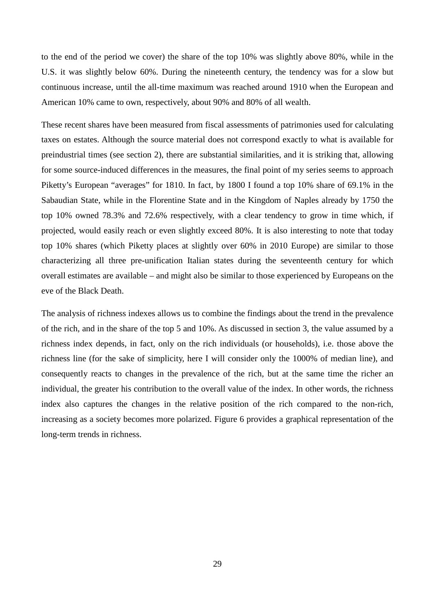to the end of the period we cover) the share of the top 10% was slightly above 80%, while in the U.S. it was slightly below 60%. During the nineteenth century, the tendency was for a slow but continuous increase, until the all-time maximum was reached around 1910 when the European and American 10% came to own, respectively, about 90% and 80% of all wealth.

These recent shares have been measured from fiscal assessments of patrimonies used for calculating taxes on estates. Although the source material does not correspond exactly to what is available for preindustrial times (see section 2), there are substantial similarities, and it is striking that, allowing for some source-induced differences in the measures, the final point of my series seems to approach Piketty's European "averages" for 1810. In fact, by 1800 I found a top 10% share of 69.1% in the Sabaudian State, while in the Florentine State and in the Kingdom of Naples already by 1750 the top 10% owned 78.3% and 72.6% respectively, with a clear tendency to grow in time which, if projected, would easily reach or even slightly exceed 80%. It is also interesting to note that today top 10% shares (which Piketty places at slightly over 60% in 2010 Europe) are similar to those characterizing all three pre-unification Italian states during the seventeenth century for which overall estimates are available – and might also be similar to those experienced by Europeans on the eve of the Black Death.

The analysis of richness indexes allows us to combine the findings about the trend in the prevalence of the rich, and in the share of the top 5 and 10%. As discussed in section 3, the value assumed by a richness index depends, in fact, only on the rich individuals (or households), i.e. those above the richness line (for the sake of simplicity, here I will consider only the 1000% of median line), and consequently reacts to changes in the prevalence of the rich, but at the same time the richer an individual, the greater his contribution to the overall value of the index. In other words, the richness index also captures the changes in the relative position of the rich compared to the non-rich, increasing as a society becomes more polarized. Figure 6 provides a graphical representation of the long-term trends in richness.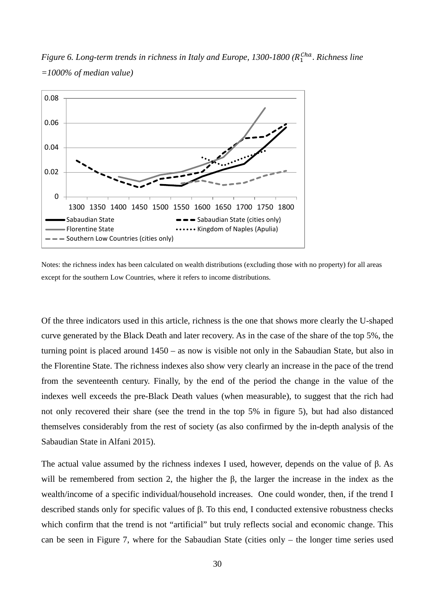Figure 6. Long-term trends in richness in Italy and Europe, 1300-1800 (R<sup>Cha</sup>. Richness line *=1000% of median value)*



Notes: the richness index has been calculated on wealth distributions (excluding those with no property) for all areas except for the southern Low Countries, where it refers to income distributions.

Of the three indicators used in this article, richness is the one that shows more clearly the U-shaped curve generated by the Black Death and later recovery. As in the case of the share of the top 5%, the turning point is placed around 1450 – as now is visible not only in the Sabaudian State, but also in the Florentine State. The richness indexes also show very clearly an increase in the pace of the trend from the seventeenth century. Finally, by the end of the period the change in the value of the indexes well exceeds the pre-Black Death values (when measurable), to suggest that the rich had not only recovered their share (see the trend in the top 5% in figure 5), but had also distanced themselves considerably from the rest of society (as also confirmed by the in-depth analysis of the Sabaudian State in Alfani 2015).

The actual value assumed by the richness indexes I used, however, depends on the value of β. As will be remembered from section 2, the higher the β, the larger the increase in the index as the wealth/income of a specific individual/household increases. One could wonder, then, if the trend I described stands only for specific values of β. To this end, I conducted extensive robustness checks which confirm that the trend is not "artificial" but truly reflects social and economic change. This can be seen in Figure 7, where for the Sabaudian State (cities only – the longer time series used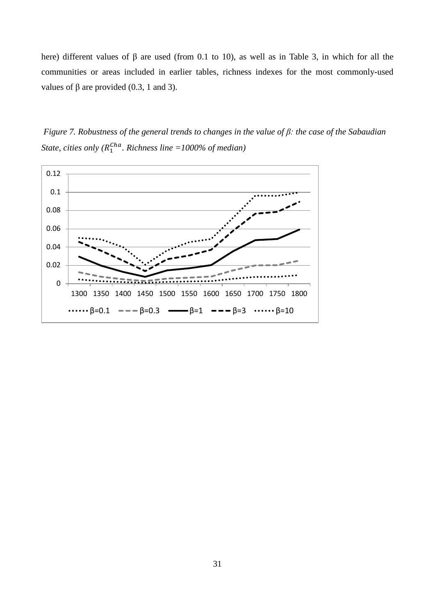here) different values of β are used (from 0.1 to 10), as well as in Table 3, in which for all the communities or areas included in earlier tables, richness indexes for the most commonly-used values of  $β$  are provided (0.3, 1 and 3).

*Figure 7. Robustness of the general trends to changes in the value of β: the case of the Sabaudian State, cities only (R*<sup>*Cha*</sup>. *Richness line =1000% of median)* 

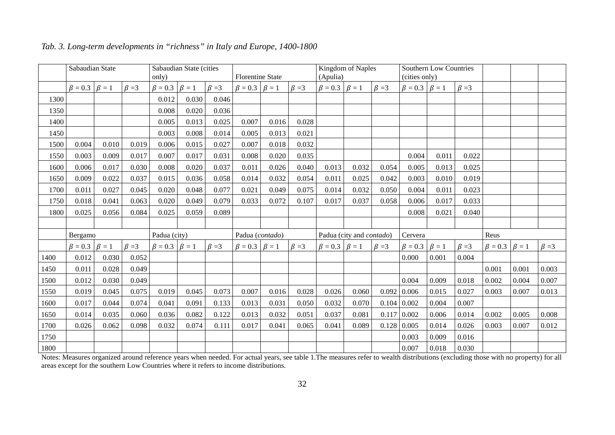|      | Sabaudian State |             |             | Sabaudian State (cities |                         |                 |                              |                                  |             | Kingdom of Naples |               |                    | <b>Southern Low Countries</b> |             |             |               |             |             |
|------|-----------------|-------------|-------------|-------------------------|-------------------------|-----------------|------------------------------|----------------------------------|-------------|-------------------|---------------|--------------------|-------------------------------|-------------|-------------|---------------|-------------|-------------|
|      |                 |             | only)       |                         | <b>Florentine State</b> |                 |                              | (Apulia)                         |             |                   | (cities only) |                    |                               |             |             |               |             |             |
|      | $\beta = 0.3$   | $\beta = 1$ | $\beta = 3$ | $\beta = 0.3$           | $\beta = 1$             | $\beta = 3$     | $\beta = 0.3$ $\beta = 1$    |                                  | $\beta = 3$ | $\beta = 0.3$     | $\beta = 1$   | $\beta = 3$        | $\beta = 0.3$                 | $\beta = 1$ | $\beta = 3$ |               |             |             |
| 1300 |                 |             |             | 0.012                   | 0.030                   | 0.046           |                              |                                  |             |                   |               |                    |                               |             |             |               |             |             |
| 1350 |                 |             |             | 0.008                   | 0.020                   | 0.036           |                              |                                  |             |                   |               |                    |                               |             |             |               |             |             |
| 1400 |                 |             |             | 0.005                   | 0.013                   | 0.025           | 0.007                        | 0.016                            | 0.028       |                   |               |                    |                               |             |             |               |             |             |
| 1450 |                 |             |             | 0.003                   | 0.008                   | 0.014           | 0.005                        | 0.013                            | 0.021       |                   |               |                    |                               |             |             |               |             |             |
| 1500 | 0.004           | 0.010       | 0.019       | 0.006                   | 0.015                   | 0.027           | 0.007                        | 0.018                            | 0.032       |                   |               |                    |                               |             |             |               |             |             |
| 1550 | 0.003           | 0.009       | 0.017       | 0.007                   | 0.017                   | 0.031           | 0.008                        | 0.020                            | 0.035       |                   |               |                    | 0.004                         | 0.011       | 0.022       |               |             |             |
| 1600 | 0.006           | 0.017       | 0.030       | 0.008                   | 0.020                   | 0.037           | 0.011                        | 0.026                            | 0.040       | 0.013             | 0.032         | 0.054              | 0.005                         | 0.013       | 0.025       |               |             |             |
| 1650 | 0.009           | 0.022       | 0.037       | 0.015                   | 0.036                   | 0.058           | 0.014                        | 0.032                            | 0.054       | 0.011             | 0.025         | 0.042              | 0.003                         | 0.010       | 0.019       |               |             |             |
| 1700 | 0.011           | 0.027       | 0.045       | 0.020                   | 0.048                   | 0.077           | 0.021                        | 0.049                            | 0.075       | 0.014             | 0.032         | 0.050              | 0.004                         | 0.011       | 0.023       |               |             |             |
| 1750 | 0.018           | 0.041       | 0.063       | 0.020                   | 0.049                   | 0.079           | 0.033                        | 0.072                            | 0.107       | 0.017             | 0.037         | 0.058              | 0.006                         | 0.017       | 0.033       |               |             |             |
| 1800 | 0.025           | 0.056       | 0.084       | 0.025                   | 0.059                   | 0.089           |                              |                                  |             |                   |               |                    | 0.008                         | 0.021       | 0.040       |               |             |             |
|      |                 |             |             |                         |                         |                 |                              |                                  |             |                   |               |                    |                               |             |             |               |             |             |
|      | Bergamo         |             |             | Padua (city)            |                         | Padua (contado) |                              | Padua (city and <i>contado</i> ) |             | Cervera           |               |                    | Reus                          |             |             |               |             |             |
|      | $\beta = 0.3$   | $\beta = 1$ | $\beta = 3$ | $\beta = 0.3$           | $\beta = 1$             | $\beta = 3$     | $\beta = 0.3 \mid \beta = 1$ |                                  | $\beta = 3$ | $\beta = 0.3$     | $\beta = 1$   | $\beta = 3$        | $\beta = 0.3$                 | $\beta = 1$ | $\beta = 3$ | $\beta = 0.3$ | $\beta = 1$ | $\beta = 3$ |
| 1400 | 0.012           | 0.030       | 0.052       |                         |                         |                 |                              |                                  |             |                   |               |                    | 0.000                         | 0.001       | 0.004       |               |             |             |
| 1450 | 0.011           | 0.028       | 0.049       |                         |                         |                 |                              |                                  |             |                   |               |                    |                               |             |             | 0.001         | 0.001       | 0.003       |
| 1500 | 0.012           | 0.030       | 0.049       |                         |                         |                 |                              |                                  |             |                   |               |                    | 0.004                         | 0.009       | 0.018       | 0.002         | 0.004       | 0.007       |
| 1550 | 0.019           | 0.045       | 0.075       | 0.019                   | 0.045                   | 0.073           | 0.007                        | 0.016                            | 0.028       | 0.026             | 0.060         | 0.092              | 0.006                         | 0.015       | 0.027       | 0.003         | 0.007       | 0.013       |
| 1600 | 0.017           | 0.044       | 0.074       | 0.041                   | 0.091                   | 0.133           | 0.013                        | 0.031                            | 0.050       | 0.032             | 0.070         | $0.104 \mid 0.002$ |                               | 0.004       | 0.007       |               |             |             |
| 1650 | 0.014           | 0.035       | 0.060       | 0.036                   | 0.082                   | 0.122           | 0.013                        | 0.032                            | 0.051       | 0.037             | 0.081         | 0.117              | 0.002                         | 0.006       | 0.014       | 0.002         | 0.005       | 0.008       |
| 1700 | 0.026           | 0.062       | 0.098       | 0.032                   | 0.074                   | 0.111           | 0.017                        | 0.041                            | 0.065       | 0.041             | 0.089         | 0.128              | 0.005                         | 0.014       | 0.026       | 0.003         | 0.007       | 0.012       |
| 1750 |                 |             |             |                         |                         |                 |                              |                                  |             |                   |               |                    | 0.003                         | 0.009       | 0.016       |               |             |             |
| 1800 |                 |             |             |                         |                         |                 |                              |                                  |             |                   |               |                    | 0.007                         | 0.018       | 0.030       |               |             |             |

## *Tab. 3. Long-term developments in "richness" in Italy and Europe, 1400-1800*

Notes: Measures organized around reference years when needed. For actual years, see table 1.The measures refer to wealth distributions (excluding those with no property) for all areas except for the southern Low Countries where it refers to income distributions.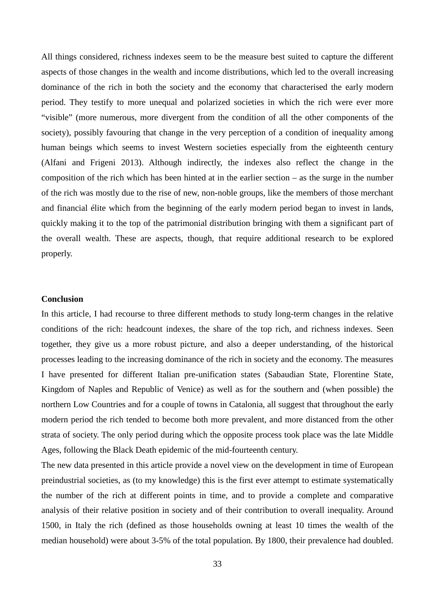All things considered, richness indexes seem to be the measure best suited to capture the different aspects of those changes in the wealth and income distributions, which led to the overall increasing dominance of the rich in both the society and the economy that characterised the early modern period. They testify to more unequal and polarized societies in which the rich were ever more "visible" (more numerous, more divergent from the condition of all the other components of the society), possibly favouring that change in the very perception of a condition of inequality among human beings which seems to invest Western societies especially from the eighteenth century (Alfani and Frigeni 2013). Although indirectly, the indexes also reflect the change in the composition of the rich which has been hinted at in the earlier section – as the surge in the number of the rich was mostly due to the rise of new, non-noble groups, like the members of those merchant and financial élite which from the beginning of the early modern period began to invest in lands, quickly making it to the top of the patrimonial distribution bringing with them a significant part of the overall wealth. These are aspects, though, that require additional research to be explored properly.

#### **Conclusion**

In this article, I had recourse to three different methods to study long-term changes in the relative conditions of the rich: headcount indexes, the share of the top rich, and richness indexes. Seen together, they give us a more robust picture, and also a deeper understanding, of the historical processes leading to the increasing dominance of the rich in society and the economy. The measures I have presented for different Italian pre-unification states (Sabaudian State, Florentine State, Kingdom of Naples and Republic of Venice) as well as for the southern and (when possible) the northern Low Countries and for a couple of towns in Catalonia, all suggest that throughout the early modern period the rich tended to become both more prevalent, and more distanced from the other strata of society. The only period during which the opposite process took place was the late Middle Ages, following the Black Death epidemic of the mid-fourteenth century.

The new data presented in this article provide a novel view on the development in time of European preindustrial societies, as (to my knowledge) this is the first ever attempt to estimate systematically the number of the rich at different points in time, and to provide a complete and comparative analysis of their relative position in society and of their contribution to overall inequality. Around 1500, in Italy the rich (defined as those households owning at least 10 times the wealth of the median household) were about 3-5% of the total population. By 1800, their prevalence had doubled.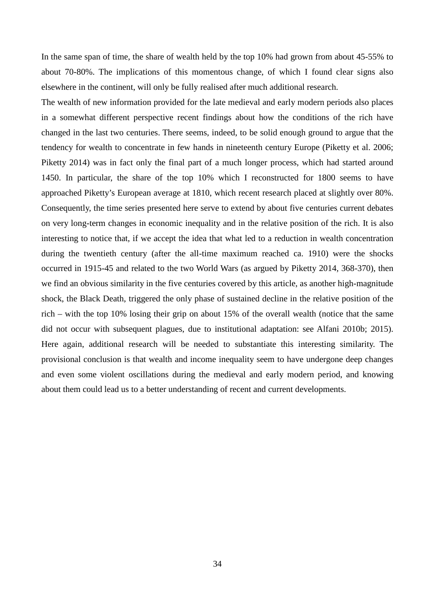In the same span of time, the share of wealth held by the top 10% had grown from about 45-55% to about 70-80%. The implications of this momentous change, of which I found clear signs also elsewhere in the continent, will only be fully realised after much additional research.

The wealth of new information provided for the late medieval and early modern periods also places in a somewhat different perspective recent findings about how the conditions of the rich have changed in the last two centuries. There seems, indeed, to be solid enough ground to argue that the tendency for wealth to concentrate in few hands in nineteenth century Europe (Piketty et al. 2006; Piketty 2014) was in fact only the final part of a much longer process, which had started around 1450. In particular, the share of the top 10% which I reconstructed for 1800 seems to have approached Piketty's European average at 1810, which recent research placed at slightly over 80%. Consequently, the time series presented here serve to extend by about five centuries current debates on very long-term changes in economic inequality and in the relative position of the rich. It is also interesting to notice that, if we accept the idea that what led to a reduction in wealth concentration during the twentieth century (after the all-time maximum reached ca. 1910) were the shocks occurred in 1915-45 and related to the two World Wars (as argued by Piketty 2014, 368-370), then we find an obvious similarity in the five centuries covered by this article, as another high-magnitude shock, the Black Death, triggered the only phase of sustained decline in the relative position of the rich – with the top 10% losing their grip on about 15% of the overall wealth (notice that the same did not occur with subsequent plagues, due to institutional adaptation: see Alfani 2010b; 2015). Here again, additional research will be needed to substantiate this interesting similarity. The provisional conclusion is that wealth and income inequality seem to have undergone deep changes and even some violent oscillations during the medieval and early modern period, and knowing about them could lead us to a better understanding of recent and current developments.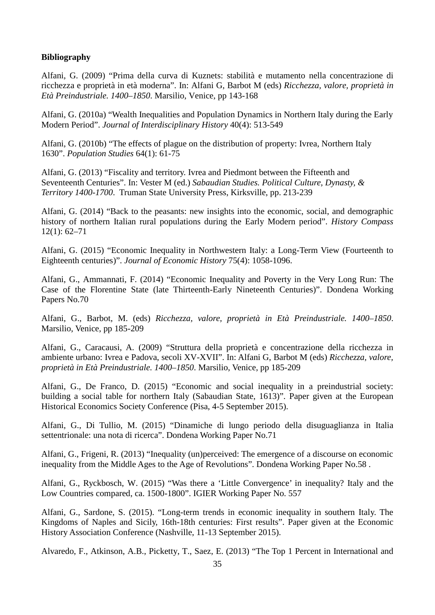## **Bibliography**

Alfani, G. (2009) "Prima della curva di Kuznets: stabilità e mutamento nella concentrazione di ricchezza e proprietà in età moderna". In: Alfani G, Barbot M (eds) *Ricchezza, valore, proprietà in Età Preindustriale. 1400–1850*. Marsilio, Venice, pp 143-168

Alfani, G. (2010a) "Wealth Inequalities and Population Dynamics in Northern Italy during the Early Modern Period". *Journal of Interdisciplinary History* 40(4): 513-549

Alfani, G. (2010b) "The effects of plague on the distribution of property: Ivrea, Northern Italy 1630". *Population Studies* 64(1): 61-75

Alfani, G. (2013) "Fiscality and territory. Ivrea and Piedmont between the Fifteenth and Seventeenth Centuries". In: Vester M (ed.) *Sabaudian Studies. Political Culture, Dynasty, & Territory 1400-1700*. Truman State University Press, Kirksville, pp. 213-239

Alfani, G. (2014) "Back to the peasants: new insights into the economic, social, and demographic history of northern Italian rural populations during the Early Modern period". *History Compass* 12(1): 62–71

Alfani, G. (2015) "Economic Inequality in Northwestern Italy: a Long-Term View (Fourteenth to Eighteenth centuries)". *Journal of Economic History* 75(4): 1058-1096.

Alfani, G., Ammannati, F. (2014) "Economic Inequality and Poverty in the Very Long Run: The Case of the Florentine State (late Thirteenth-Early Nineteenth Centuries)". Dondena Working Papers No.70

Alfani, G., Barbot, M. (eds) *Ricchezza, valore, proprietà in Età Preindustriale. 1400–1850*. Marsilio, Venice, pp 185-209

Alfani, G., Caracausi, A. (2009) "Struttura della proprietà e concentrazione della ricchezza in ambiente urbano: Ivrea e Padova, secoli XV-XVII". In: Alfani G, Barbot M (eds) *Ricchezza, valore, proprietà in Età Preindustriale. 1400–1850*. Marsilio, Venice, pp 185-209

Alfani, G., De Franco, D. (2015) "Economic and social inequality in a preindustrial society: building a social table for northern Italy (Sabaudian State, 1613)". Paper given at the European Historical Economics Society Conference (Pisa, 4-5 September 2015).

Alfani, G., Di Tullio, M. (2015) "Dinamiche di lungo periodo della disuguaglianza in Italia settentrionale: una nota di ricerca". Dondena Working Paper No.71

Alfani, G., Frigeni, R. (2013) "Inequality (un)perceived: The emergence of a discourse on economic inequality from the Middle Ages to the Age of Revolutions". Dondena Working Paper No.58 .

Alfani, G., Ryckbosch, W. (2015) "Was there a 'Little Convergence' in inequality? Italy and the Low Countries compared, ca. 1500-1800". IGIER Working Paper No. 557

Alfani, G., Sardone, S. (2015). "Long-term trends in economic inequality in southern Italy. The Kingdoms of Naples and Sicily, 16th-18th centuries: First results". Paper given at the Economic History Association Conference (Nashville, 11-13 September 2015).

Alvaredo, F., Atkinson, A.B., Picketty, T., Saez, E. (2013) "The Top 1 Percent in International and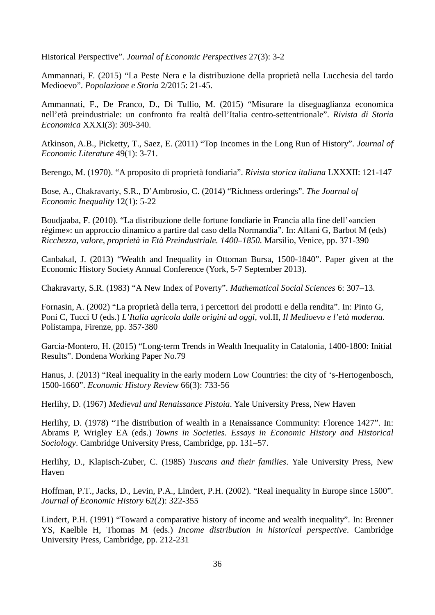Historical Perspective". *Journal of Economic Perspectives* 27(3): 3-2

Ammannati, F. (2015) "La Peste Nera e la distribuzione della proprietà nella Lucchesia del tardo Medioevo". *Popolazione e Storia* 2/2015: 21-45.

Ammannati, F., De Franco, D., Di Tullio, M. (2015) "Misurare la diseguaglianza economica nell'età preindustriale: un confronto fra realtà dell'Italia centro-settentrionale". *Rivista di Storia Economica* XXXI(3): 309-340.

Atkinson, A.B., Picketty, T., Saez, E. (2011) "Top Incomes in the Long Run of History". *Journal of Economic Literature* 49(1): 3-71.

Berengo, M. (1970). "A proposito di proprietà fondiaria". *Rivista storica italiana* LXXXII: 121-147

Bose, A., Chakravarty, S.R., D'Ambrosio, C. (2014) "Richness orderings". *The Journal of Economic Inequality* 12(1): 5-22

Boudjaaba, F. (2010). "La distribuzione delle fortune fondiarie in Francia alla fine dell'«ancien régime»: un approccio dinamico a partire dal caso della Normandia". In: Alfani G, Barbot M (eds) *Ricchezza, valore, proprietà in Età Preindustriale. 1400–1850*. Marsilio, Venice, pp. 371-390

Canbakal, J. (2013) "Wealth and Inequality in Ottoman Bursa, 1500-1840". Paper given at the Economic History Society Annual Conference (York, 5-7 September 2013).

Chakravarty, S.R. (1983) "A New Index of Poverty". *Mathematical Social Sciences* 6: 307–13.

Fornasin, A. (2002) "La proprietà della terra, i percettori dei prodotti e della rendita". In: Pinto G, Poni C, Tucci U (eds.) *L'Italia agricola dalle origini ad oggi*, vol.II, *Il Medioevo e l'età moderna*. Polistampa, Firenze, pp. 357-380

García-Montero, H. (2015) "Long-term Trends in Wealth Inequality in Catalonia, 1400-1800: Initial Results". Dondena Working Paper No.79

Hanus, J. (2013) "Real inequality in the early modern Low Countries: the city of 's-Hertogenbosch, 1500-1660". *Economic History Review* 66(3): 733-56

Herlihy, D. (1967) *Medieval and Renaissance Pistoia*. Yale University Press, New Haven

Herlihy, D. (1978) "The distribution of wealth in a Renaissance Community: Florence 1427". In: Abrams P, Wrigley EA (eds.) *Towns in Societies. Essays in Economic History and Historical Sociology*. Cambridge University Press, Cambridge, pp. 131–57.

Herlihy, D., Klapisch-Zuber, C. (1985) *Tuscans and their families*. Yale University Press, New Haven

Hoffman, P.T., Jacks, D., Levin, P.A., Lindert, P.H. (2002). "Real inequality in Europe since 1500". *Journal of Economic History* 62(2): 322-355

Lindert, P.H. (1991) "Toward a comparative history of income and wealth inequality". In: Brenner YS, Kaelble H, Thomas M (eds.) *Income distribution in historical perspective*. Cambridge University Press, Cambridge, pp. 212-231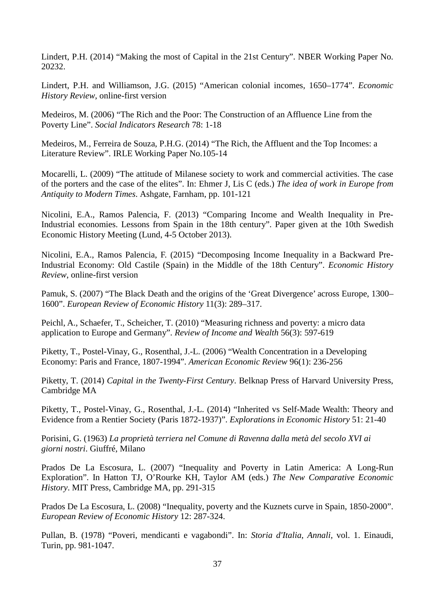Lindert, P.H. (2014) "Making the most of Capital in the 21st Century". NBER Working Paper No. 20232.

Lindert, P.H. and Williamson, J.G. (2015) "American colonial incomes, 1650–1774". *Economic History Review*, online-first version

Medeiros, M. (2006) "The Rich and the Poor: The Construction of an Affluence Line from the Poverty Line". *Social Indicators Research* 78: 1-18

Medeiros, M., Ferreira de Souza, P.H.G. (2014) "The Rich, the Affluent and the Top Incomes: a Literature Review". IRLE Working Paper No.105-14

Mocarelli, L. (2009) "The attitude of Milanese society to work and commercial activities. The case of the porters and the case of the elites". In: Ehmer J, Lis C (eds.) *The idea of work in Europe from Antiquity to Modern Times*. Ashgate, Farnham, pp. 101-121

Nicolini, E.A., Ramos Palencia, F. (2013) "Comparing Income and Wealth Inequality in Pre-Industrial economies. Lessons from Spain in the 18th century". Paper given at the 10th Swedish Economic History Meeting (Lund, 4-5 October 2013).

Nicolini, E.A., Ramos Palencia, F. (2015) "Decomposing Income Inequality in a Backward Pre-Industrial Economy: Old Castile (Spain) in the Middle of the 18th Century". *Economic History Review*, online-first version

Pamuk, S. (2007) "The Black Death and the origins of the 'Great Divergence' across Europe, 1300– 1600". *European Review of Economic History* 11(3): 289–317.

Peichl, A., Schaefer, T., Scheicher, T. (2010) "Measuring richness and poverty: a micro data application to Europe and Germany". *Review of Income and Wealth* 56(3): 597-619

Piketty, T., Postel-Vinay, G., Rosenthal, J.-L. (2006) "Wealth Concentration in a Developing Economy: Paris and France, 1807-1994". *American Economic Review* 96(1): 236-256

Piketty, T. (2014) *Capital in the Twenty-First Century*. Belknap Press of Harvard University Press, Cambridge MA

Piketty, T., Postel-Vinay, G., Rosenthal, J.-L. (2014) "Inherited vs Self-Made Wealth: Theory and Evidence from a Rentier Society (Paris 1872-1937)". *Explorations in Economic History* 51: 21-40

Porisini, G. (1963) *La proprietà terriera nel Comune di Ravenna dalla metà del secolo XVI ai giorni nostri*. Giuffré, Milano

Prados De La Escosura, L. (2007) "Inequality and Poverty in Latin America: A Long-Run Exploration". In Hatton TJ, O'Rourke KH, Taylor AM (eds.) *The New Comparative Economic History*. MIT Press, Cambridge MA, pp. 291-315

Prados De La Escosura, L. (2008) "Inequality, poverty and the Kuznets curve in Spain, 1850-2000". *European Review of Economic History* 12: 287-324.

Pullan, B. (1978) "Poveri, mendicanti e vagabondi". In: *Storia d'Italia*, *Annali*, vol. 1. Einaudi, Turin, pp. 981-1047.